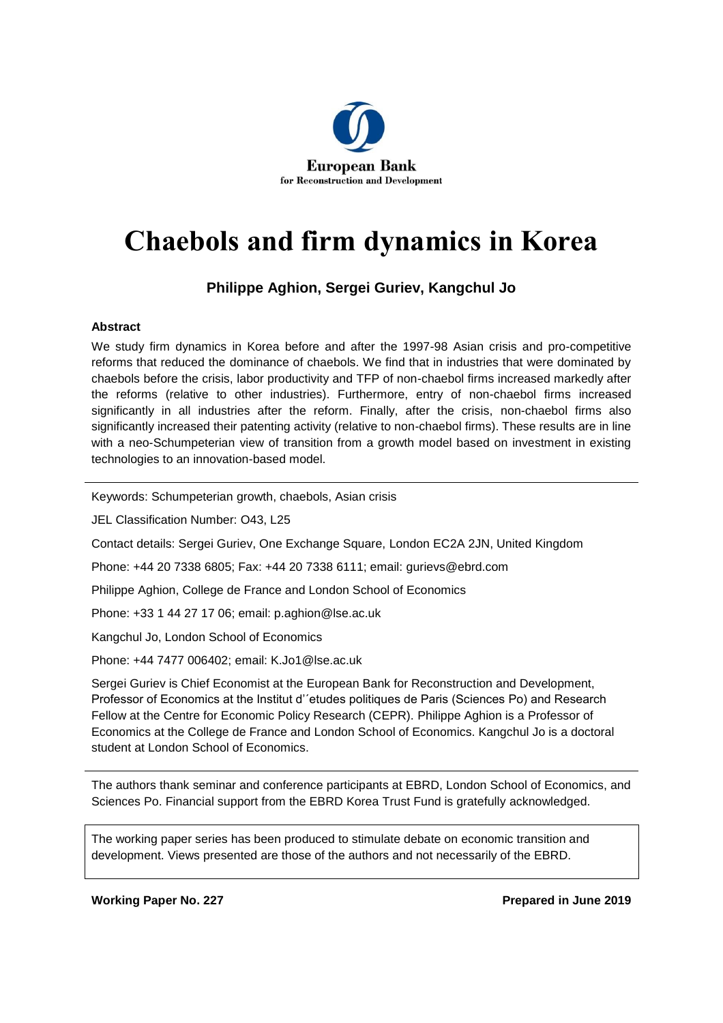

# **Chaebols and firm dynamics in Korea**

# **Philippe Aghion, Sergei Guriev, Kangchul Jo**

### **Abstract**

We study firm dynamics in Korea before and after the 1997-98 Asian crisis and pro-competitive reforms that reduced the dominance of chaebols. We find that in industries that were dominated by chaebols before the crisis, labor productivity and TFP of non-chaebol firms increased markedly after the reforms (relative to other industries). Furthermore, entry of non-chaebol firms increased significantly in all industries after the reform. Finally, after the crisis, non-chaebol firms also significantly increased their patenting activity (relative to non-chaebol firms). These results are in line with a neo-Schumpeterian view of transition from a growth model based on investment in existing technologies to an innovation-based model.

Keywords: Schumpeterian growth, chaebols, Asian crisis

JEL Classification Number: O43, L25

Contact details: Sergei Guriev, One Exchange Square, London EC2A 2JN, United Kingdom

Phone: +44 20 7338 6805; Fax: +44 20 7338 6111; email: [gurievs@ebrd.com](mailto:gurievs@ebrd.com)

Philippe Aghion, College de France and London School of Economics

Phone: +33 1 44 27 17 06; email: [p.aghion@lse.ac.uk](mailto:p.aghion@lse.ac.uk)

Kangchul Jo, London School of Economics

Phone: +44 7477 006402; email: [K.Jo1@lse.ac.uk](mailto:K.Jo1@lse.ac.uk)

Sergei Guriev is Chief Economist at the European Bank for Reconstruction and Development, Professor of Economics at the Institut d'´etudes politiques de Paris (Sciences Po) and Research Fellow at the Centre for Economic Policy Research (CEPR). Philippe Aghion is a Professor of Economics at the College de France and London School of Economics. Kangchul Jo is a doctoral student at London School of Economics.

The authors thank seminar and conference participants at EBRD, London School of Economics, and Sciences Po. Financial support from the EBRD Korea Trust Fund is gratefully acknowledged.

The working paper series has been produced to stimulate debate on economic transition and development. Views presented are those of the authors and not necessarily of the EBRD.

**Working Paper No. 227 Prepared in June 2019**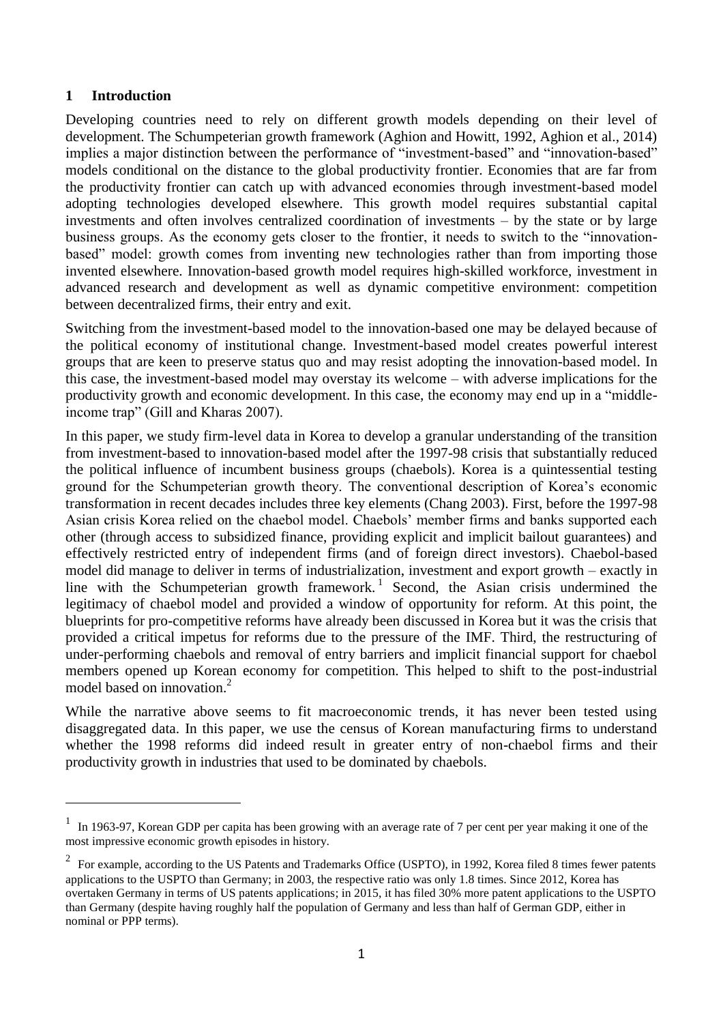### **1 Introduction**

 $\overline{a}$ 

Developing countries need to rely on different growth models depending on their level of development. The Schumpeterian growth framework (Aghion and Howitt, 1992, Aghion et al., 2014) implies a major distinction between the performance of "investment-based" and "innovation-based" models conditional on the distance to the global productivity frontier. Economies that are far from the productivity frontier can catch up with advanced economies through investment-based model adopting technologies developed elsewhere. This growth model requires substantial capital investments and often involves centralized coordination of investments – by the state or by large business groups. As the economy gets closer to the frontier, it needs to switch to the "innovationbased" model: growth comes from inventing new technologies rather than from importing those invented elsewhere. Innovation-based growth model requires high-skilled workforce, investment in advanced research and development as well as dynamic competitive environment: competition between decentralized firms, their entry and exit.

Switching from the investment-based model to the innovation-based one may be delayed because of the political economy of institutional change. Investment-based model creates powerful interest groups that are keen to preserve status quo and may resist adopting the innovation-based model. In this case, the investment-based model may overstay its welcome – with adverse implications for the productivity growth and economic development. In this case, the economy may end up in a "middleincome trap" (Gill and Kharas 2007).

In this paper, we study firm-level data in Korea to develop a granular understanding of the transition from investment-based to innovation-based model after the 1997-98 crisis that substantially reduced the political influence of incumbent business groups (chaebols). Korea is a quintessential testing ground for the Schumpeterian growth theory. The conventional description of Korea's economic transformation in recent decades includes three key elements (Chang 2003). First, before the 1997-98 Asian crisis Korea relied on the chaebol model. Chaebols' member firms and banks supported each other (through access to subsidized finance, providing explicit and implicit bailout guarantees) and effectively restricted entry of independent firms (and of foreign direct investors). Chaebol-based model did manage to deliver in terms of industrialization, investment and export growth – exactly in line with the Schumpeterian growth framework.<sup>1</sup> Second, the Asian crisis undermined the legitimacy of chaebol model and provided a window of opportunity for reform. At this point, the blueprints for pro-competitive reforms have already been discussed in Korea but it was the crisis that provided a critical impetus for reforms due to the pressure of the IMF. Third, the restructuring of under-performing chaebols and removal of entry barriers and implicit financial support for chaebol members opened up Korean economy for competition. This helped to shift to the post-industrial model based on innovation.<sup>2</sup>

While the narrative above seems to fit macroeconomic trends, it has never been tested using disaggregated data. In this paper, we use the census of Korean manufacturing firms to understand whether the 1998 reforms did indeed result in greater entry of non-chaebol firms and their productivity growth in industries that used to be dominated by chaebols.

<sup>1</sup> In 1963-97, Korean GDP per capita has been growing with an average rate of 7 per cent per year making it one of the most impressive economic growth episodes in history.

<sup>2</sup> For example, according to the US Patents and Trademarks Office (USPTO), in 1992, Korea filed 8 times fewer patents applications to the USPTO than Germany; in 2003, the respective ratio was only 1.8 times. Since 2012, Korea has overtaken Germany in terms of US patents applications; in 2015, it has filed 30% more patent applications to the USPTO than Germany (despite having roughly half the population of Germany and less than half of German GDP, either in nominal or PPP terms).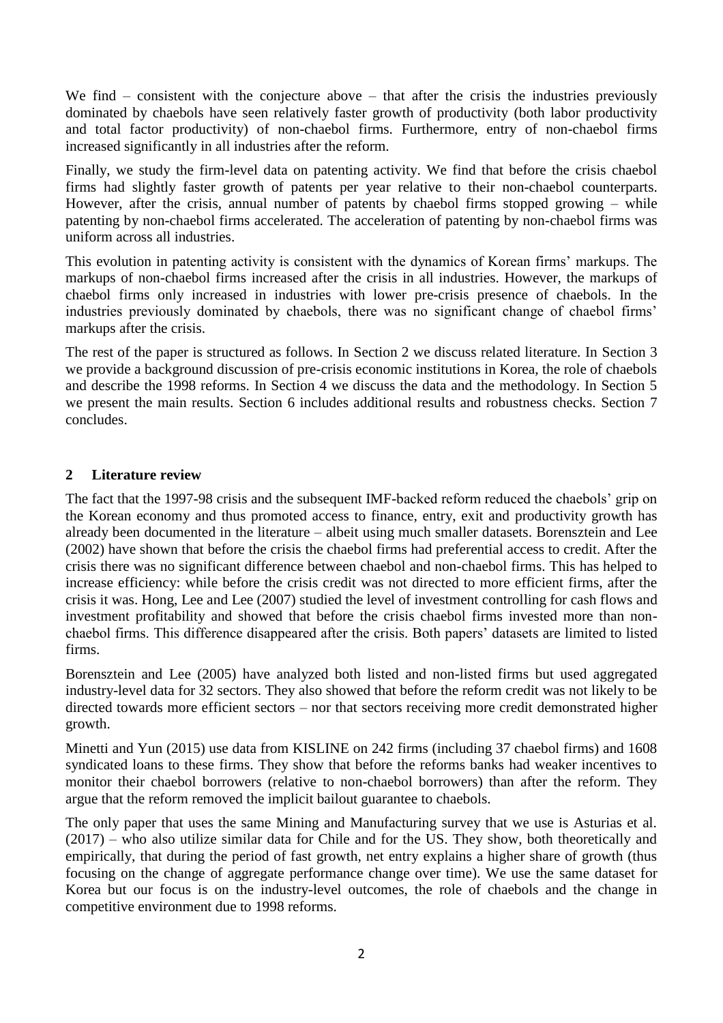We find – consistent with the conjecture above – that after the crisis the industries previously dominated by chaebols have seen relatively faster growth of productivity (both labor productivity and total factor productivity) of non-chaebol firms. Furthermore, entry of non-chaebol firms increased significantly in all industries after the reform.

Finally, we study the firm-level data on patenting activity. We find that before the crisis chaebol firms had slightly faster growth of patents per year relative to their non-chaebol counterparts. However, after the crisis, annual number of patents by chaebol firms stopped growing – while patenting by non-chaebol firms accelerated. The acceleration of patenting by non-chaebol firms was uniform across all industries.

This evolution in patenting activity is consistent with the dynamics of Korean firms' markups. The markups of non-chaebol firms increased after the crisis in all industries. However, the markups of chaebol firms only increased in industries with lower pre-crisis presence of chaebols. In the industries previously dominated by chaebols, there was no significant change of chaebol firms' markups after the crisis.

The rest of the paper is structured as follows. In Section 2 we discuss related literature. In Section 3 we provide a background discussion of pre-crisis economic institutions in Korea, the role of chaebols and describe the 1998 reforms. In Section 4 we discuss the data and the methodology. In Section 5 we present the main results. Section 6 includes additional results and robustness checks. Section 7 concludes.

# **2 Literature review**

The fact that the 1997-98 crisis and the subsequent IMF-backed reform reduced the chaebols' grip on the Korean economy and thus promoted access to finance, entry, exit and productivity growth has already been documented in the literature – albeit using much smaller datasets. Borensztein and Lee (2002) have shown that before the crisis the chaebol firms had preferential access to credit. After the crisis there was no significant difference between chaebol and non-chaebol firms. This has helped to increase efficiency: while before the crisis credit was not directed to more efficient firms, after the crisis it was. Hong, Lee and Lee (2007) studied the level of investment controlling for cash flows and investment profitability and showed that before the crisis chaebol firms invested more than nonchaebol firms. This difference disappeared after the crisis. Both papers' datasets are limited to listed firms.

Borensztein and Lee (2005) have analyzed both listed and non-listed firms but used aggregated industry-level data for 32 sectors. They also showed that before the reform credit was not likely to be directed towards more efficient sectors – nor that sectors receiving more credit demonstrated higher growth.

Minetti and Yun (2015) use data from KISLINE on 242 firms (including 37 chaebol firms) and 1608 syndicated loans to these firms. They show that before the reforms banks had weaker incentives to monitor their chaebol borrowers (relative to non-chaebol borrowers) than after the reform. They argue that the reform removed the implicit bailout guarantee to chaebols.

The only paper that uses the same Mining and Manufacturing survey that we use is Asturias et al. (2017) – who also utilize similar data for Chile and for the US. They show, both theoretically and empirically, that during the period of fast growth, net entry explains a higher share of growth (thus focusing on the change of aggregate performance change over time). We use the same dataset for Korea but our focus is on the industry-level outcomes, the role of chaebols and the change in competitive environment due to 1998 reforms.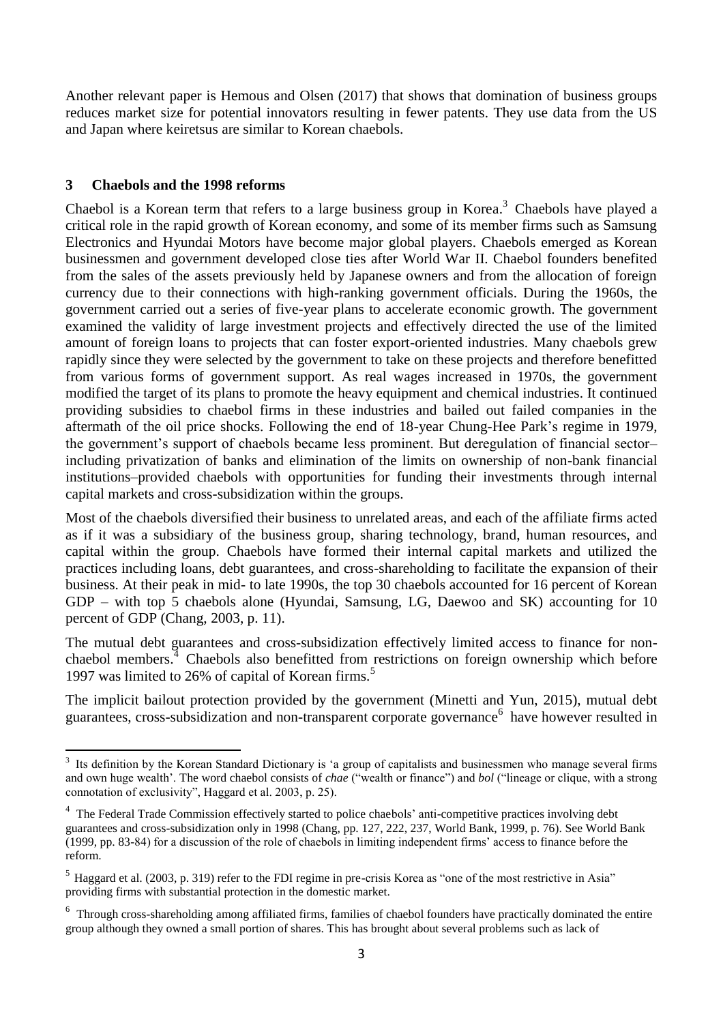Another relevant paper is Hemous and Olsen (2017) that shows that domination of business groups reduces market size for potential innovators resulting in fewer patents. They use data from the US and Japan where keiretsus are similar to Korean chaebols.

## **3 Chaebols and the 1998 reforms**

Chaebol is a Korean term that refers to a large business group in Korea.<sup>3</sup> Chaebols have played a critical role in the rapid growth of Korean economy, and some of its member firms such as Samsung Electronics and Hyundai Motors have become major global players. Chaebols emerged as Korean businessmen and government developed close ties after World War II. Chaebol founders benefited from the sales of the assets previously held by Japanese owners and from the allocation of foreign currency due to their connections with high-ranking government officials. During the 1960s, the government carried out a series of five-year plans to accelerate economic growth. The government examined the validity of large investment projects and effectively directed the use of the limited amount of foreign loans to projects that can foster export-oriented industries. Many chaebols grew rapidly since they were selected by the government to take on these projects and therefore benefitted from various forms of government support. As real wages increased in 1970s, the government modified the target of its plans to promote the heavy equipment and chemical industries. It continued providing subsidies to chaebol firms in these industries and bailed out failed companies in the aftermath of the oil price shocks. Following the end of 18-year Chung-Hee Park's regime in 1979, the government's support of chaebols became less prominent. But deregulation of financial sector– including privatization of banks and elimination of the limits on ownership of non-bank financial institutions–provided chaebols with opportunities for funding their investments through internal capital markets and cross-subsidization within the groups.

Most of the chaebols diversified their business to unrelated areas, and each of the affiliate firms acted as if it was a subsidiary of the business group, sharing technology, brand, human resources, and capital within the group. Chaebols have formed their internal capital markets and utilized the practices including loans, debt guarantees, and cross-shareholding to facilitate the expansion of their business. At their peak in mid- to late 1990s, the top 30 chaebols accounted for 16 percent of Korean GDP – with top 5 chaebols alone (Hyundai, Samsung, LG, Daewoo and SK) accounting for 10 percent of GDP (Chang, 2003, p. 11).

The mutual debt guarantees and cross-subsidization effectively limited access to finance for nonchaebol members.<sup>4</sup> Chaebols also benefitted from restrictions on foreign ownership which before 1997 was limited to 26% of capital of Korean firms.<sup>5</sup>

The implicit bailout protection provided by the government (Minetti and Yun, 2015), mutual debt guarantees, cross-subsidization and non-transparent corporate governance<sup>6</sup> have however resulted in

l <sup>3</sup> Its definition by the Korean Standard Dictionary is 'a group of capitalists and businessmen who manage several firms and own huge wealth'. The word chaebol consists of *chae* ("wealth or finance") and *bol* ("lineage or clique, with a strong connotation of exclusivity", Haggard et al. 2003, p. 25).

<sup>&</sup>lt;sup>4</sup> The Federal Trade Commission effectively started to police chaebols' anti-competitive practices involving debt guarantees and cross-subsidization only in 1998 (Chang, pp. 127, 222, 237, World Bank, 1999, p. 76). See World Bank (1999, pp. 83-84) for a discussion of the role of chaebols in limiting independent firms' access to finance before the reform.

<sup>&</sup>lt;sup>5</sup> Haggard et al. (2003, p. 319) refer to the FDI regime in pre-crisis Korea as "one of the most restrictive in Asia" providing firms with substantial protection in the domestic market.

<sup>&</sup>lt;sup>6</sup> Through cross-shareholding among affiliated firms, families of chaebol founders have practically dominated the entire group although they owned a small portion of shares. This has brought about several problems such as lack of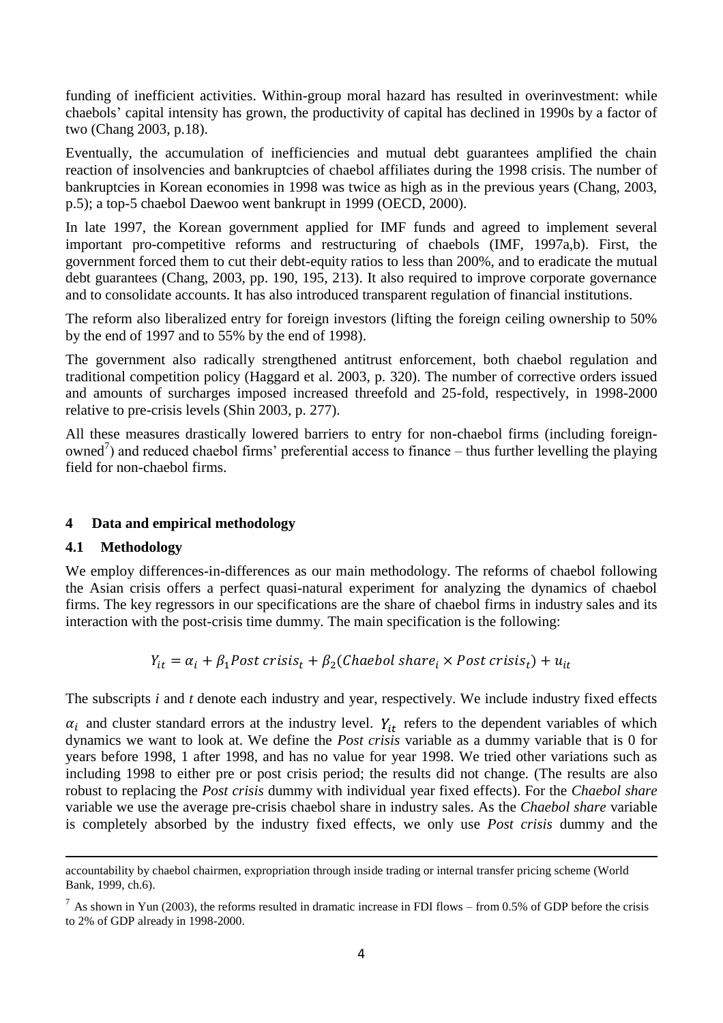funding of inefficient activities. Within-group moral hazard has resulted in overinvestment: while chaebols' capital intensity has grown, the productivity of capital has declined in 1990s by a factor of two (Chang 2003, p.18).

Eventually, the accumulation of inefficiencies and mutual debt guarantees amplified the chain reaction of insolvencies and bankruptcies of chaebol affiliates during the 1998 crisis. The number of bankruptcies in Korean economies in 1998 was twice as high as in the previous years (Chang, 2003, p.5); a top-5 chaebol Daewoo went bankrupt in 1999 (OECD, 2000).

In late 1997, the Korean government applied for IMF funds and agreed to implement several important pro-competitive reforms and restructuring of chaebols (IMF, 1997a,b). First, the government forced them to cut their debt-equity ratios to less than 200%, and to eradicate the mutual debt guarantees (Chang, 2003, pp. 190, 195, 213). It also required to improve corporate governance and to consolidate accounts. It has also introduced transparent regulation of financial institutions.

The reform also liberalized entry for foreign investors (lifting the foreign ceiling ownership to 50% by the end of 1997 and to 55% by the end of 1998).

The government also radically strengthened antitrust enforcement, both chaebol regulation and traditional competition policy (Haggard et al. 2003, p. 320). The number of corrective orders issued and amounts of surcharges imposed increased threefold and 25-fold, respectively, in 1998-2000 relative to pre-crisis levels (Shin 2003, p. 277).

All these measures drastically lowered barriers to entry for non-chaebol firms (including foreignowned<sup>7</sup>) and reduced chaebol firms' preferential access to finance – thus further levelling the playing field for non-chaebol firms.

# **4 Data and empirical methodology**

# **4.1 Methodology**

We employ differences-in-differences as our main methodology. The reforms of chaebol following the Asian crisis offers a perfect quasi-natural experiment for analyzing the dynamics of chaebol firms. The key regressors in our specifications are the share of chaebol firms in industry sales and its interaction with the post-crisis time dummy. The main specification is the following:

 $Y_{it} = \alpha_i + \beta_1$ Post crisis<sub>t</sub> +  $\beta_2$ (Chaebol share<sub>i</sub> × Post crisis<sub>t</sub>) +  $u_{it}$ 

The subscripts *i* and *t* denote each industry and year, respectively. We include industry fixed effects

 $\alpha_i$  and cluster standard errors at the industry level.  $Y_{it}$  refers to the dependent variables of which dynamics we want to look at. We define the *Post crisis* variable as a dummy variable that is 0 for years before 1998, 1 after 1998, and has no value for year 1998. We tried other variations such as including 1998 to either pre or post crisis period; the results did not change. (The results are also robust to replacing the *Post crisis* dummy with individual year fixed effects). For the *Chaebol share* variable we use the average pre-crisis chaebol share in industry sales. As the *Chaebol share* variable is completely absorbed by the industry fixed effects, we only use *Post crisis* dummy and the

l accountability by chaebol chairmen, expropriation through inside trading or internal transfer pricing scheme (World Bank, 1999, ch.6).

 $^7$  As shown in Yun (2003), the reforms resulted in dramatic increase in FDI flows – from 0.5% of GDP before the crisis to 2% of GDP already in 1998-2000.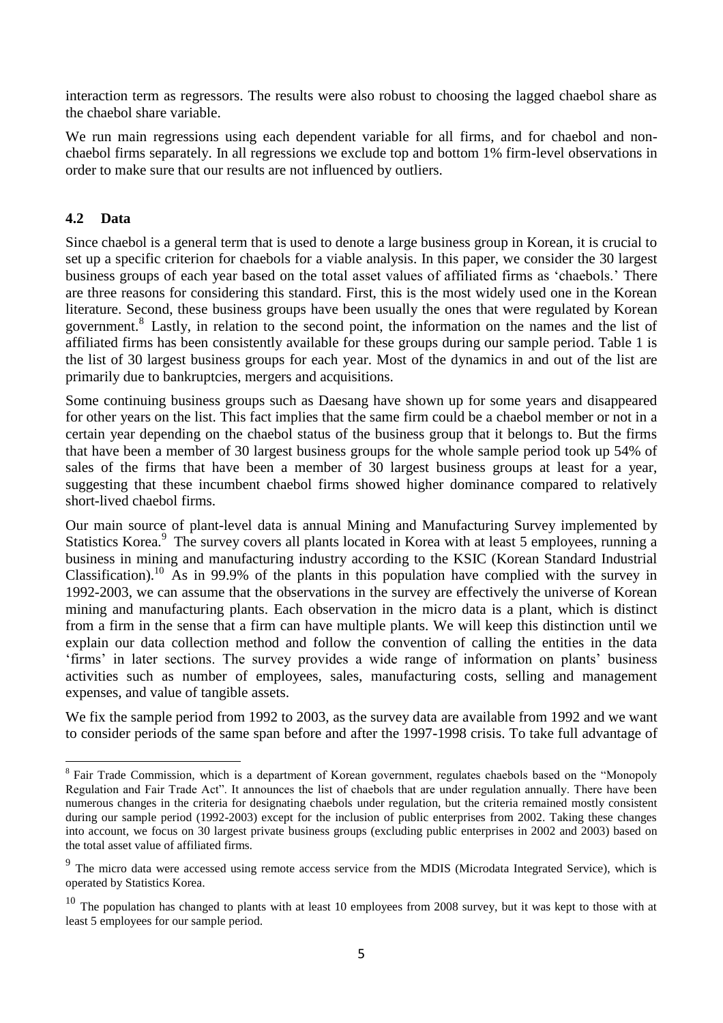interaction term as regressors. The results were also robust to choosing the lagged chaebol share as the chaebol share variable.

We run main regressions using each dependent variable for all firms, and for chaebol and nonchaebol firms separately. In all regressions we exclude top and bottom 1% firm-level observations in order to make sure that our results are not influenced by outliers.

# **4.2 Data**

l

Since chaebol is a general term that is used to denote a large business group in Korean, it is crucial to set up a specific criterion for chaebols for a viable analysis. In this paper, we consider the 30 largest business groups of each year based on the total asset values of affiliated firms as 'chaebols.' There are three reasons for considering this standard. First, this is the most widely used one in the Korean literature. Second, these business groups have been usually the ones that were regulated by Korean government.<sup>8</sup> Lastly, in relation to the second point, the information on the names and the list of affiliated firms has been consistently available for these groups during our sample period. Table 1 is the list of 30 largest business groups for each year. Most of the dynamics in and out of the list are primarily due to bankruptcies, mergers and acquisitions.

Some continuing business groups such as Daesang have shown up for some years and disappeared for other years on the list. This fact implies that the same firm could be a chaebol member or not in a certain year depending on the chaebol status of the business group that it belongs to. But the firms that have been a member of 30 largest business groups for the whole sample period took up 54% of sales of the firms that have been a member of 30 largest business groups at least for a year, suggesting that these incumbent chaebol firms showed higher dominance compared to relatively short-lived chaebol firms.

Our main source of plant-level data is annual Mining and Manufacturing Survey implemented by Statistics Korea.<sup>9</sup> The survey covers all plants located in Korea with at least 5 employees, running a business in mining and manufacturing industry according to the KSIC (Korean Standard Industrial Classification).<sup>10</sup> As in 99.9% of the plants in this population have complied with the survey in 1992-2003, we can assume that the observations in the survey are effectively the universe of Korean mining and manufacturing plants. Each observation in the micro data is a plant, which is distinct from a firm in the sense that a firm can have multiple plants. We will keep this distinction until we explain our data collection method and follow the convention of calling the entities in the data 'firms' in later sections. The survey provides a wide range of information on plants' business activities such as number of employees, sales, manufacturing costs, selling and management expenses, and value of tangible assets.

We fix the sample period from 1992 to 2003, as the survey data are available from 1992 and we want to consider periods of the same span before and after the 1997-1998 crisis. To take full advantage of

<sup>&</sup>lt;sup>8</sup> Fair Trade Commission, which is a department of Korean government, regulates chaebols based on the "Monopoly Regulation and Fair Trade Act". It announces the list of chaebols that are under regulation annually. There have been numerous changes in the criteria for designating chaebols under regulation, but the criteria remained mostly consistent during our sample period (1992-2003) except for the inclusion of public enterprises from 2002. Taking these changes into account, we focus on 30 largest private business groups (excluding public enterprises in 2002 and 2003) based on the total asset value of affiliated firms.

<sup>&</sup>lt;sup>9</sup> The micro data were accessed using remote access service from the MDIS (Microdata Integrated Service), which is operated by Statistics Korea.

 $10$  The population has changed to plants with at least 10 employees from 2008 survey, but it was kept to those with at least 5 employees for our sample period.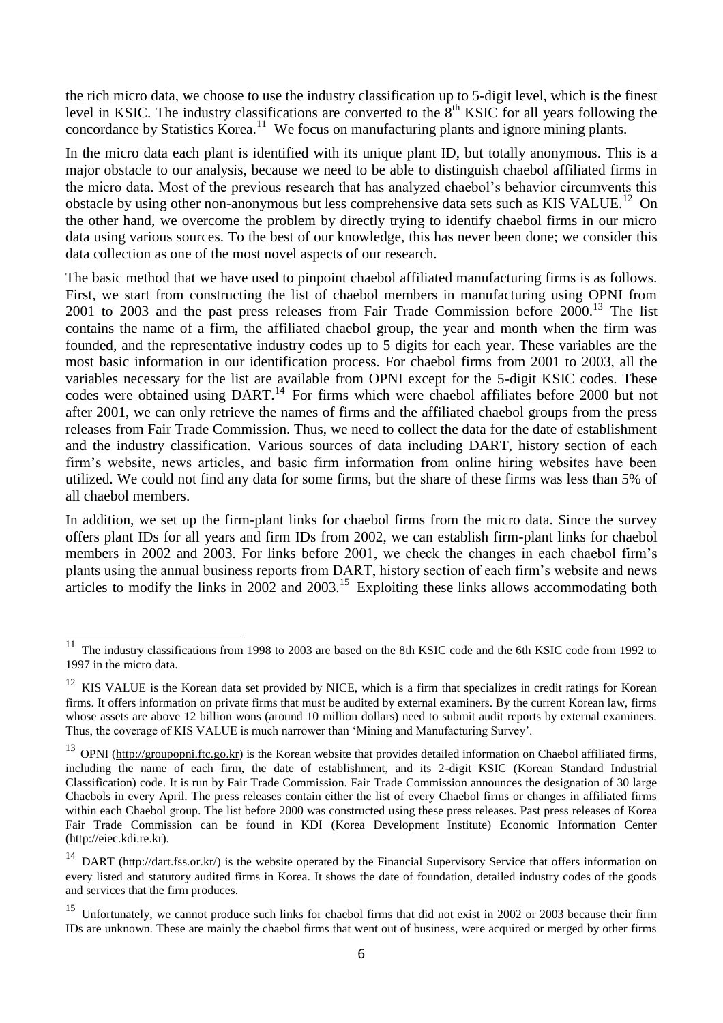the rich micro data, we choose to use the industry classification up to 5-digit level, which is the finest level in KSIC. The industry classifications are converted to the  $8<sup>th</sup>$  KSIC for all years following the concordance by Statistics Korea.<sup>11</sup> We focus on manufacturing plants and ignore mining plants.

In the micro data each plant is identified with its unique plant ID, but totally anonymous. This is a major obstacle to our analysis, because we need to be able to distinguish chaebol affiliated firms in the micro data. Most of the previous research that has analyzed chaebol's behavior circumvents this obstacle by using other non-anonymous but less comprehensive data sets such as KIS VALUE.<sup>12</sup> On the other hand, we overcome the problem by directly trying to identify chaebol firms in our micro data using various sources. To the best of our knowledge, this has never been done; we consider this data collection as one of the most novel aspects of our research.

The basic method that we have used to pinpoint chaebol affiliated manufacturing firms is as follows. First, we start from constructing the list of chaebol members in manufacturing using OPNI from  $2001$  to  $2003$  and the past press releases from Fair Trade Commission before  $2000$ .<sup>13</sup> The list contains the name of a firm, the affiliated chaebol group, the year and month when the firm was founded, and the representative industry codes up to 5 digits for each year. These variables are the most basic information in our identification process. For chaebol firms from 2001 to 2003, all the variables necessary for the list are available from OPNI except for the 5-digit KSIC codes. These codes were obtained using DART.<sup>14</sup> For firms which were chaebol affiliates before 2000 but not after 2001, we can only retrieve the names of firms and the affiliated chaebol groups from the press releases from Fair Trade Commission. Thus, we need to collect the data for the date of establishment and the industry classification. Various sources of data including DART, history section of each firm's website, news articles, and basic firm information from online hiring websites have been utilized. We could not find any data for some firms, but the share of these firms was less than 5% of all chaebol members.

In addition, we set up the firm-plant links for chaebol firms from the micro data. Since the survey offers plant IDs for all years and firm IDs from 2002, we can establish firm-plant links for chaebol members in 2002 and 2003. For links before 2001, we check the changes in each chaebol firm's plants using the annual business reports from DART, history section of each firm's website and news articles to modify the links in 2002 and 2003.<sup>15</sup> Exploiting these links allows accommodating both

j

 $11$  The industry classifications from 1998 to 2003 are based on the 8th KSIC code and the 6th KSIC code from 1992 to 1997 in the micro data.

<sup>&</sup>lt;sup>12</sup> KIS VALUE is the Korean data set provided by NICE, which is a firm that specializes in credit ratings for Korean firms. It offers information on private firms that must be audited by external examiners. By the current Korean law, firms whose assets are above 12 billion wons (around 10 million dollars) need to submit audit reports by external examiners. Thus, the coverage of KIS VALUE is much narrower than 'Mining and Manufacturing Survey'.

 $^{13}$  OPNI [\(http://groupopni.ftc.go.kr\)](http://groupopni.ftc.go.kr/) is the Korean website that provides detailed information on Chaebol affiliated firms, including the name of each firm, the date of establishment, and its 2-digit KSIC (Korean Standard Industrial Classification) code. It is run by Fair Trade Commission. Fair Trade Commission announces the designation of 30 large Chaebols in every April. The press releases contain either the list of every Chaebol firms or changes in affiliated firms within each Chaebol group. The list before 2000 was constructed using these press releases. Past press releases of Korea Fair Trade Commission can be found in KDI (Korea Development Institute) Economic Information Center (http://eiec.kdi.re.kr).

<sup>&</sup>lt;sup>14</sup> DART [\(http://dart.fss.or.kr/\)](http://dart.fss.or.kr/) is the website operated by the Financial Supervisory Service that offers information on every listed and statutory audited firms in Korea. It shows the date of foundation, detailed industry codes of the goods and services that the firm produces.

<sup>&</sup>lt;sup>15</sup> Unfortunately, we cannot produce such links for chaebol firms that did not exist in 2002 or 2003 because their firm IDs are unknown. These are mainly the chaebol firms that went out of business, were acquired or merged by other firms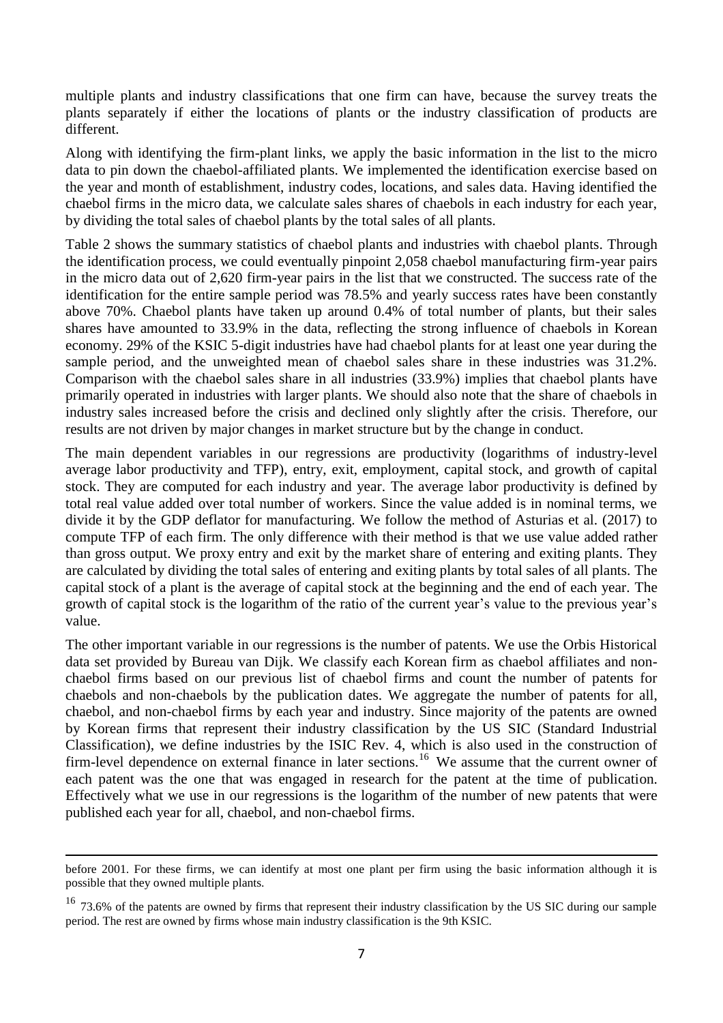multiple plants and industry classifications that one firm can have, because the survey treats the plants separately if either the locations of plants or the industry classification of products are different.

Along with identifying the firm-plant links, we apply the basic information in the list to the micro data to pin down the chaebol-affiliated plants. We implemented the identification exercise based on the year and month of establishment, industry codes, locations, and sales data. Having identified the chaebol firms in the micro data, we calculate sales shares of chaebols in each industry for each year, by dividing the total sales of chaebol plants by the total sales of all plants.

Table 2 shows the summary statistics of chaebol plants and industries with chaebol plants. Through the identification process, we could eventually pinpoint 2,058 chaebol manufacturing firm-year pairs in the micro data out of 2,620 firm-year pairs in the list that we constructed. The success rate of the identification for the entire sample period was 78.5% and yearly success rates have been constantly above 70%. Chaebol plants have taken up around 0.4% of total number of plants, but their sales shares have amounted to 33.9% in the data, reflecting the strong influence of chaebols in Korean economy. 29% of the KSIC 5-digit industries have had chaebol plants for at least one year during the sample period, and the unweighted mean of chaebol sales share in these industries was 31.2%. Comparison with the chaebol sales share in all industries (33.9%) implies that chaebol plants have primarily operated in industries with larger plants. We should also note that the share of chaebols in industry sales increased before the crisis and declined only slightly after the crisis. Therefore, our results are not driven by major changes in market structure but by the change in conduct.

The main dependent variables in our regressions are productivity (logarithms of industry-level average labor productivity and TFP), entry, exit, employment, capital stock, and growth of capital stock. They are computed for each industry and year. The average labor productivity is defined by total real value added over total number of workers. Since the value added is in nominal terms, we divide it by the GDP deflator for manufacturing. We follow the method of Asturias et al. (2017) to compute TFP of each firm. The only difference with their method is that we use value added rather than gross output. We proxy entry and exit by the market share of entering and exiting plants. They are calculated by dividing the total sales of entering and exiting plants by total sales of all plants. The capital stock of a plant is the average of capital stock at the beginning and the end of each year. The growth of capital stock is the logarithm of the ratio of the current year's value to the previous year's value.

The other important variable in our regressions is the number of patents. We use the Orbis Historical data set provided by Bureau van Dijk. We classify each Korean firm as chaebol affiliates and nonchaebol firms based on our previous list of chaebol firms and count the number of patents for chaebols and non-chaebols by the publication dates. We aggregate the number of patents for all, chaebol, and non-chaebol firms by each year and industry. Since majority of the patents are owned by Korean firms that represent their industry classification by the US SIC (Standard Industrial Classification), we define industries by the ISIC Rev. 4, which is also used in the construction of firm-level dependence on external finance in later sections.<sup>16</sup> We assume that the current owner of each patent was the one that was engaged in research for the patent at the time of publication. Effectively what we use in our regressions is the logarithm of the number of new patents that were published each year for all, chaebol, and non-chaebol firms.

 $\overline{a}$ 

before 2001. For these firms, we can identify at most one plant per firm using the basic information although it is possible that they owned multiple plants.

<sup>&</sup>lt;sup>16</sup> 73.6% of the patents are owned by firms that represent their industry classification by the US SIC during our sample period. The rest are owned by firms whose main industry classification is the 9th KSIC.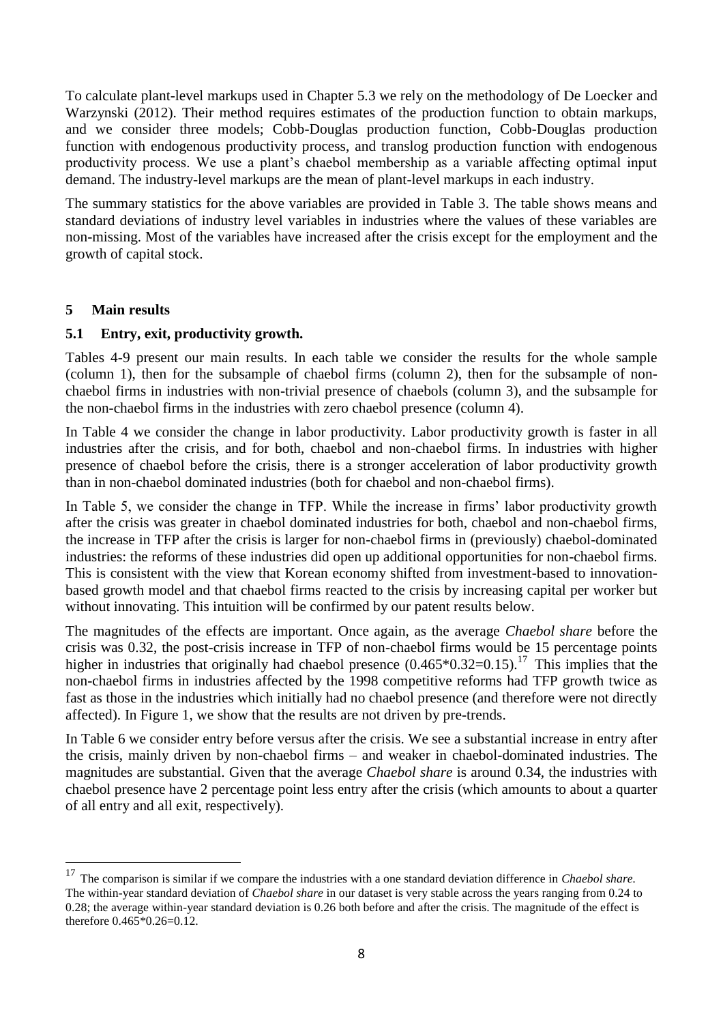To calculate plant-level markups used in Chapter 5.3 we rely on the methodology of De Loecker and Warzynski (2012). Their method requires estimates of the production function to obtain markups, and we consider three models; Cobb-Douglas production function, Cobb-Douglas production function with endogenous productivity process, and translog production function with endogenous productivity process. We use a plant's chaebol membership as a variable affecting optimal input demand. The industry-level markups are the mean of plant-level markups in each industry.

The summary statistics for the above variables are provided in Table 3. The table shows means and standard deviations of industry level variables in industries where the values of these variables are non-missing. Most of the variables have increased after the crisis except for the employment and the growth of capital stock.

### **5 Main results**

 $\overline{a}$ 

### **5.1 Entry, exit, productivity growth.**

Tables 4-9 present our main results. In each table we consider the results for the whole sample (column 1), then for the subsample of chaebol firms (column 2), then for the subsample of nonchaebol firms in industries with non-trivial presence of chaebols (column 3), and the subsample for the non-chaebol firms in the industries with zero chaebol presence (column 4).

In Table 4 we consider the change in labor productivity. Labor productivity growth is faster in all industries after the crisis, and for both, chaebol and non-chaebol firms. In industries with higher presence of chaebol before the crisis, there is a stronger acceleration of labor productivity growth than in non-chaebol dominated industries (both for chaebol and non-chaebol firms).

In Table 5, we consider the change in TFP. While the increase in firms' labor productivity growth after the crisis was greater in chaebol dominated industries for both, chaebol and non-chaebol firms, the increase in TFP after the crisis is larger for non-chaebol firms in (previously) chaebol-dominated industries: the reforms of these industries did open up additional opportunities for non-chaebol firms. This is consistent with the view that Korean economy shifted from investment-based to innovationbased growth model and that chaebol firms reacted to the crisis by increasing capital per worker but without innovating. This intuition will be confirmed by our patent results below.

The magnitudes of the effects are important. Once again, as the average *Chaebol share* before the crisis was 0.32, the post-crisis increase in TFP of non-chaebol firms would be 15 percentage points higher in industries that originally had chaebol presence  $(0.465*0.32=0.15).$ <sup>17</sup> This implies that the non-chaebol firms in industries affected by the 1998 competitive reforms had TFP growth twice as fast as those in the industries which initially had no chaebol presence (and therefore were not directly affected). In Figure 1, we show that the results are not driven by pre-trends.

In Table 6 we consider entry before versus after the crisis. We see a substantial increase in entry after the crisis, mainly driven by non-chaebol firms – and weaker in chaebol-dominated industries. The magnitudes are substantial. Given that the average *Chaebol share* is around 0.34, the industries with chaebol presence have 2 percentage point less entry after the crisis (which amounts to about a quarter of all entry and all exit, respectively).

<sup>17</sup> The comparison is similar if we compare the industries with a one standard deviation difference in *Chaebol share.*  The within-year standard deviation of *Chaebol share* in our dataset is very stable across the years ranging from 0.24 to 0.28; the average within-year standard deviation is 0.26 both before and after the crisis. The magnitude of the effect is therefore 0.465\*0.26=0.12.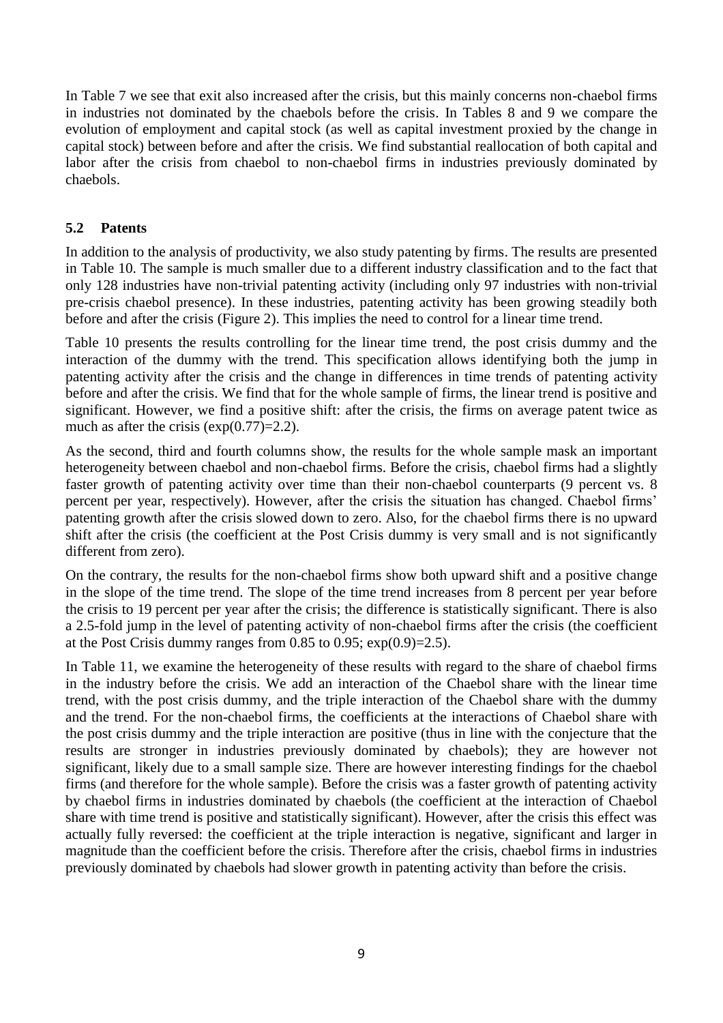In Table 7 we see that exit also increased after the crisis, but this mainly concerns non-chaebol firms in industries not dominated by the chaebols before the crisis. In Tables 8 and 9 we compare the evolution of employment and capital stock (as well as capital investment proxied by the change in capital stock) between before and after the crisis. We find substantial reallocation of both capital and labor after the crisis from chaebol to non-chaebol firms in industries previously dominated by chaebols.

## **5.2 Patents**

In addition to the analysis of productivity, we also study patenting by firms. The results are presented in Table 10. The sample is much smaller due to a different industry classification and to the fact that only 128 industries have non-trivial patenting activity (including only 97 industries with non-trivial pre-crisis chaebol presence). In these industries, patenting activity has been growing steadily both before and after the crisis (Figure 2). This implies the need to control for a linear time trend.

Table 10 presents the results controlling for the linear time trend, the post crisis dummy and the interaction of the dummy with the trend. This specification allows identifying both the jump in patenting activity after the crisis and the change in differences in time trends of patenting activity before and after the crisis. We find that for the whole sample of firms, the linear trend is positive and significant. However, we find a positive shift: after the crisis, the firms on average patent twice as much as after the crisis  $(\exp(0.77)=2.2)$ .

As the second, third and fourth columns show, the results for the whole sample mask an important heterogeneity between chaebol and non-chaebol firms. Before the crisis, chaebol firms had a slightly faster growth of patenting activity over time than their non-chaebol counterparts (9 percent vs. 8 percent per year, respectively). However, after the crisis the situation has changed. Chaebol firms' patenting growth after the crisis slowed down to zero. Also, for the chaebol firms there is no upward shift after the crisis (the coefficient at the Post Crisis dummy is very small and is not significantly different from zero).

On the contrary, the results for the non-chaebol firms show both upward shift and a positive change in the slope of the time trend. The slope of the time trend increases from 8 percent per year before the crisis to 19 percent per year after the crisis; the difference is statistically significant. There is also a 2.5-fold jump in the level of patenting activity of non-chaebol firms after the crisis (the coefficient at the Post Crisis dummy ranges from 0.85 to 0.95; exp(0.9)=2.5).

In Table 11, we examine the heterogeneity of these results with regard to the share of chaebol firms in the industry before the crisis. We add an interaction of the Chaebol share with the linear time trend, with the post crisis dummy, and the triple interaction of the Chaebol share with the dummy and the trend. For the non-chaebol firms, the coefficients at the interactions of Chaebol share with the post crisis dummy and the triple interaction are positive (thus in line with the conjecture that the results are stronger in industries previously dominated by chaebols); they are however not significant, likely due to a small sample size. There are however interesting findings for the chaebol firms (and therefore for the whole sample). Before the crisis was a faster growth of patenting activity by chaebol firms in industries dominated by chaebols (the coefficient at the interaction of Chaebol share with time trend is positive and statistically significant). However, after the crisis this effect was actually fully reversed: the coefficient at the triple interaction is negative, significant and larger in magnitude than the coefficient before the crisis. Therefore after the crisis, chaebol firms in industries previously dominated by chaebols had slower growth in patenting activity than before the crisis.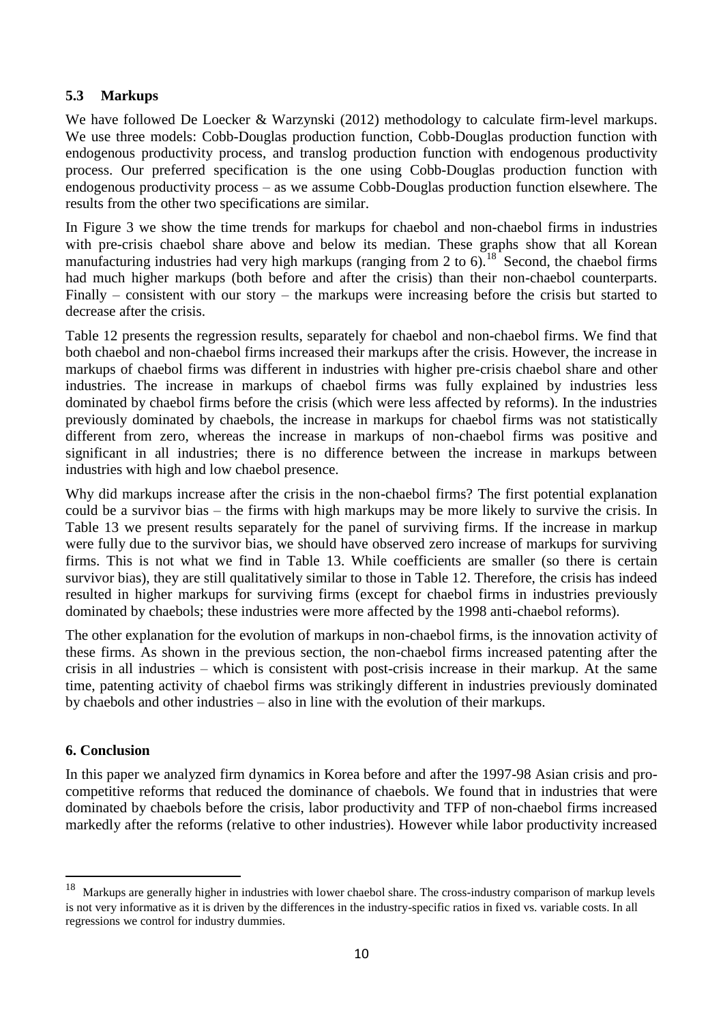# **5.3 Markups**

We have followed De Loecker & Warzynski (2012) methodology to calculate firm-level markups. We use three models: Cobb-Douglas production function, Cobb-Douglas production function with endogenous productivity process, and translog production function with endogenous productivity process. Our preferred specification is the one using Cobb-Douglas production function with endogenous productivity process – as we assume Cobb-Douglas production function elsewhere. The results from the other two specifications are similar.

In Figure 3 we show the time trends for markups for chaebol and non-chaebol firms in industries with pre-crisis chaebol share above and below its median. These graphs show that all Korean manufacturing industries had very high markups (ranging from 2 to 6).<sup>18</sup> Second, the chaebol firms had much higher markups (both before and after the crisis) than their non-chaebol counterparts. Finally – consistent with our story – the markups were increasing before the crisis but started to decrease after the crisis.

Table 12 presents the regression results, separately for chaebol and non-chaebol firms. We find that both chaebol and non-chaebol firms increased their markups after the crisis. However, the increase in markups of chaebol firms was different in industries with higher pre-crisis chaebol share and other industries. The increase in markups of chaebol firms was fully explained by industries less dominated by chaebol firms before the crisis (which were less affected by reforms). In the industries previously dominated by chaebols, the increase in markups for chaebol firms was not statistically different from zero, whereas the increase in markups of non-chaebol firms was positive and significant in all industries; there is no difference between the increase in markups between industries with high and low chaebol presence.

Why did markups increase after the crisis in the non-chaebol firms? The first potential explanation could be a survivor bias – the firms with high markups may be more likely to survive the crisis. In Table 13 we present results separately for the panel of surviving firms. If the increase in markup were fully due to the survivor bias, we should have observed zero increase of markups for surviving firms. This is not what we find in Table 13. While coefficients are smaller (so there is certain survivor bias), they are still qualitatively similar to those in Table 12. Therefore, the crisis has indeed resulted in higher markups for surviving firms (except for chaebol firms in industries previously dominated by chaebols; these industries were more affected by the 1998 anti-chaebol reforms).

The other explanation for the evolution of markups in non-chaebol firms, is the innovation activity of these firms. As shown in the previous section, the non-chaebol firms increased patenting after the crisis in all industries – which is consistent with post-crisis increase in their markup. At the same time, patenting activity of chaebol firms was strikingly different in industries previously dominated by chaebols and other industries – also in line with the evolution of their markups.

# **6. Conclusion**

In this paper we analyzed firm dynamics in Korea before and after the 1997-98 Asian crisis and procompetitive reforms that reduced the dominance of chaebols. We found that in industries that were dominated by chaebols before the crisis, labor productivity and TFP of non-chaebol firms increased markedly after the reforms (relative to other industries). However while labor productivity increased

<sup>18</sup> <sup>18</sup> Markups are generally higher in industries with lower chaebol share. The cross-industry comparison of markup levels is not very informative as it is driven by the differences in the industry-specific ratios in fixed vs. variable costs. In all regressions we control for industry dummies.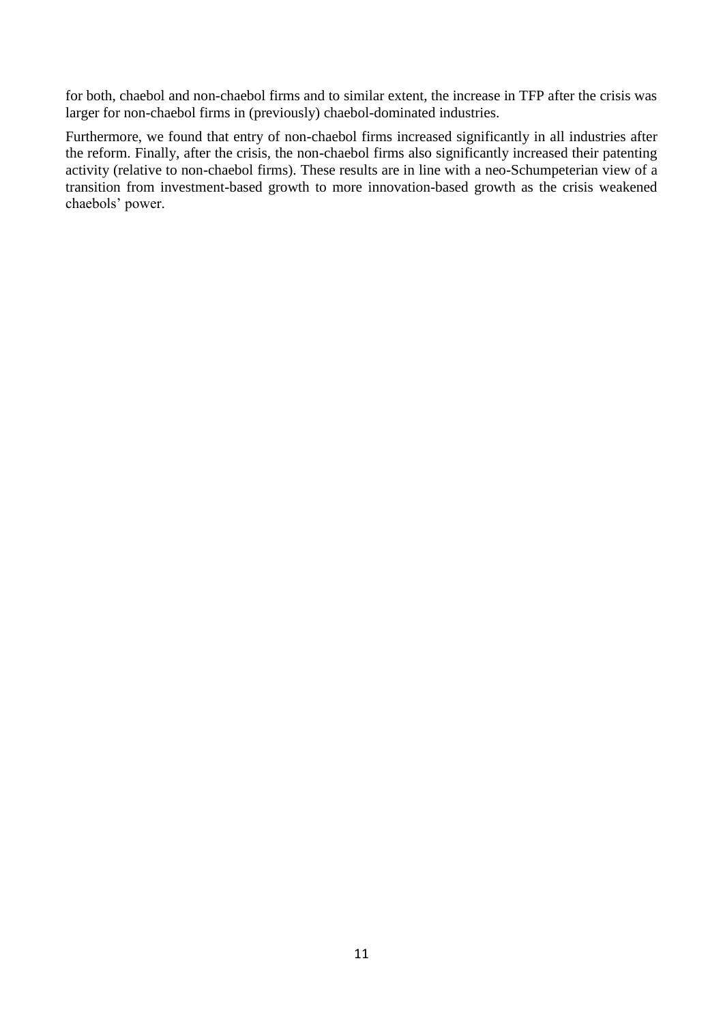for both, chaebol and non-chaebol firms and to similar extent, the increase in TFP after the crisis was larger for non-chaebol firms in (previously) chaebol-dominated industries.

Furthermore, we found that entry of non-chaebol firms increased significantly in all industries after the reform. Finally, after the crisis, the non-chaebol firms also significantly increased their patenting activity (relative to non-chaebol firms). These results are in line with a neo-Schumpeterian view of a transition from investment-based growth to more innovation-based growth as the crisis weakened chaebols' power.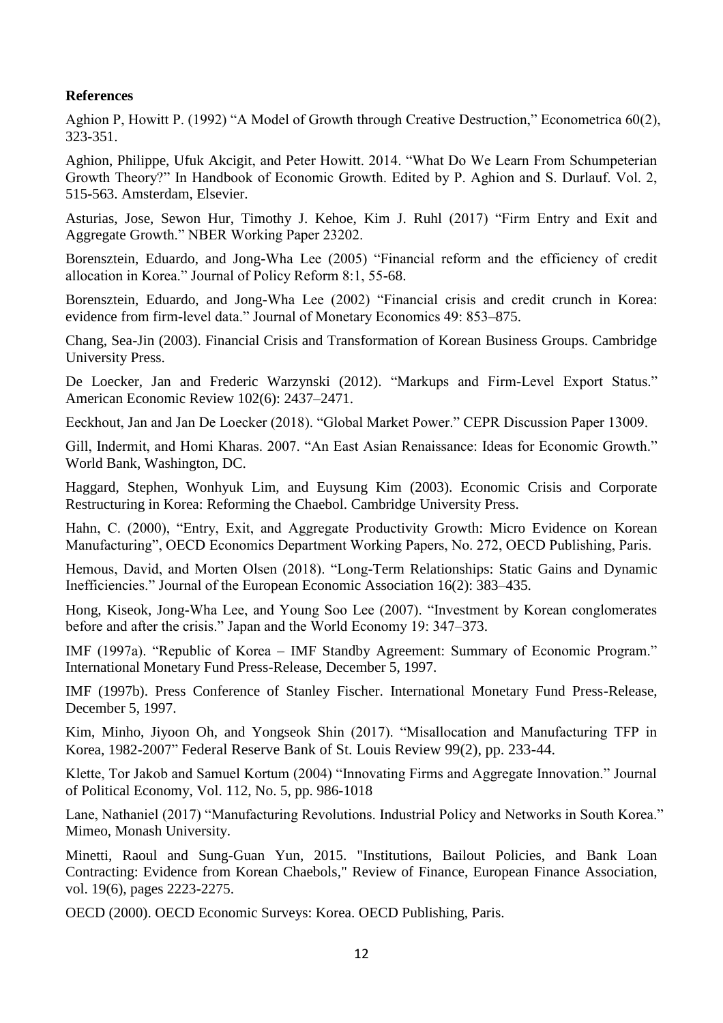### **References**

Aghion P, Howitt P. (1992) "A Model of Growth through Creative Destruction," Econometrica 60(2), 323-351.

Aghion, Philippe, Ufuk Akcigit, and Peter Howitt. 2014. "What Do We Learn From Schumpeterian Growth Theory?" In Handbook of Economic Growth. Edited by P. Aghion and S. Durlauf. Vol. 2, 515-563. Amsterdam, Elsevier.

[Asturias,](http://www.nber.org/people/jose_asturias) Jose, [Sewon Hur,](http://www.nber.org/people/sewon_hur) [Timothy J. Kehoe,](http://www.nber.org/people/timothy_kehoe) [Kim J. Ruhl](http://www.nber.org/people/kim_ruhl) (2017) "Firm Entry and Exit and Aggregate Growth." NBER Working Paper 23202.

Borensztein, Eduardo, and Jong-Wha Lee (2005) "Financial reform and the efficiency of credit allocation in Korea." Journal of Policy Reform 8:1, 55-68.

Borensztein, Eduardo, and Jong-Wha Lee (2002) "Financial crisis and credit crunch in Korea: evidence from firm-level data." Journal of Monetary Economics 49: 853–875.

Chang, Sea-Jin (2003). Financial Crisis and Transformation of Korean Business Groups. Cambridge University Press.

De Loecker, Jan and Frederic Warzynski (2012). "Markups and Firm-Level Export Status." American Economic Review 102(6): 2437–2471.

Eeckhout, Jan and Jan De Loecker (2018). "Global Market Power." CEPR Discussion Paper 13009.

Gill, Indermit, and Homi Kharas. 2007. "An East Asian Renaissance: Ideas for Economic Growth." World Bank, Washington, DC.

Haggard, Stephen, Wonhyuk Lim, and Euysung Kim (2003). Economic Crisis and Corporate Restructuring in Korea: Reforming the Chaebol. Cambridge University Press.

Hahn, C. (2000), "Entry, Exit, and Aggregate Productivity Growth: Micro Evidence on Korean Manufacturing", OECD Economics Department Working Papers, No. 272, OECD Publishing, Paris.

Hemous, David, and Morten Olsen (2018). "Long-Term Relationships: Static Gains and Dynamic Inefficiencies." Journal of the European Economic Association 16(2): 383–435.

Hong, Kiseok, Jong-Wha Lee, and Young Soo Lee (2007). "Investment by Korean conglomerates before and after the crisis." Japan and the World Economy 19: 347–373.

IMF (1997a). "Republic of Korea – IMF Standby Agreement: Summary of Economic Program." International Monetary Fund Press-Release, December 5, 1997.

IMF (1997b). Press Conference of Stanley Fischer. International Monetary Fund Press-Release, December 5, 1997.

Kim, Minho, Jiyoon Oh, and Yongseok Shin (2017). "Misallocation and Manufacturing TFP in Korea, 1982-2007" Federal Reserve Bank of St. Louis Review 99(2), pp. 233-44.

Klette, Tor Jakob and Samuel Kortum (2004) "Innovating Firms and Aggregate Innovation." Journal of Political Economy, Vol. 112, No. 5, pp. 986-1018

Lane, Nathaniel (2017) "Manufacturing Revolutions. Industrial Policy and Networks in South Korea." Mimeo, Monash University.

Minetti, Raoul and Sung-Guan Yun, 2015. ["Institutions, Bailout Policies, and Bank Loan](https://ideas.repec.org/a/oup/revfin/v19y2015i6p2223-2275..html)  [Contracting: Evidence from Korean Chaebols,](https://ideas.repec.org/a/oup/revfin/v19y2015i6p2223-2275..html)" [Review of Finance,](https://ideas.repec.org/s/oup/revfin.html) European Finance Association, vol. 19(6), pages 2223-2275.

OECD (2000). OECD Economic Surveys: Korea. OECD Publishing, Paris.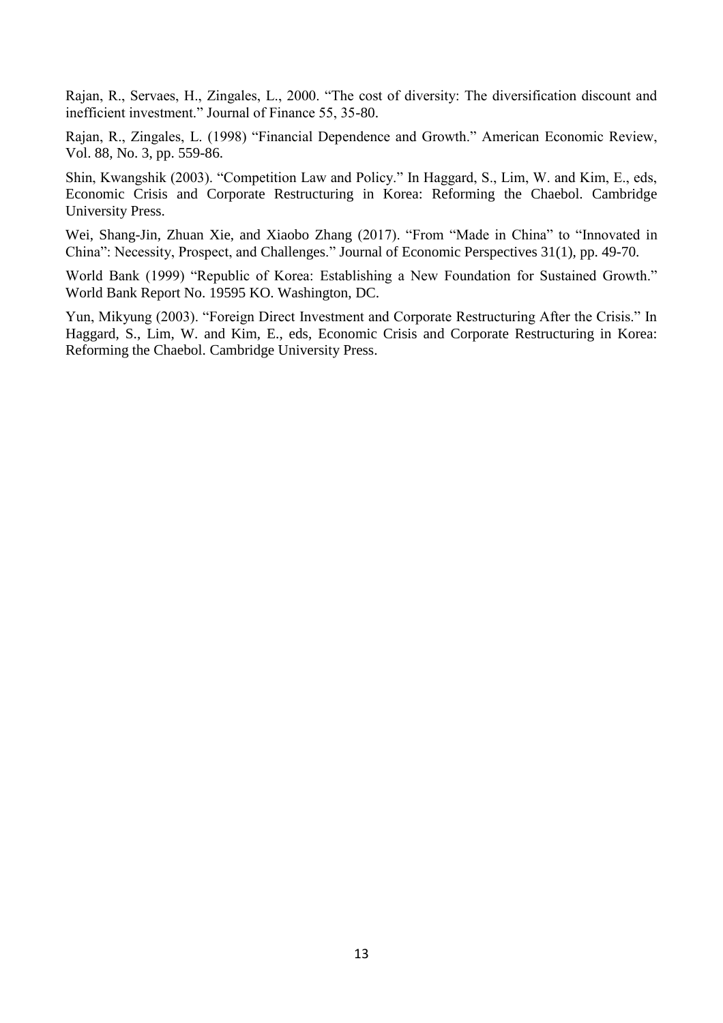Rajan, R., Servaes, H., Zingales, L., 2000. "The cost of diversity: The diversification discount and inefficient investment." Journal of Finance 55, 35-80.

Rajan, R., Zingales, L. (1998) "Financial Dependence and Growth." American Economic Review, Vol. 88, No. 3, pp. 559-86.

Shin, Kwangshik (2003). "Competition Law and Policy." In Haggard, S., Lim, W. and Kim, E., eds, Economic Crisis and Corporate Restructuring in Korea: Reforming the Chaebol. Cambridge University Press.

Wei, Shang-Jin, Zhuan Xie, and Xiaobo Zhang (2017). "From "Made in China" to "Innovated in China": Necessity, Prospect, and Challenges." Journal of Economic Perspectives 31(1), pp. 49-70.

World Bank (1999) "Republic of Korea: Establishing a New Foundation for Sustained Growth." World Bank Report No. 19595 KO. Washington, DC.

Yun, Mikyung (2003). "Foreign Direct Investment and Corporate Restructuring After the Crisis." In Haggard, S., Lim, W. and Kim, E., eds, Economic Crisis and Corporate Restructuring in Korea: Reforming the Chaebol. Cambridge University Press.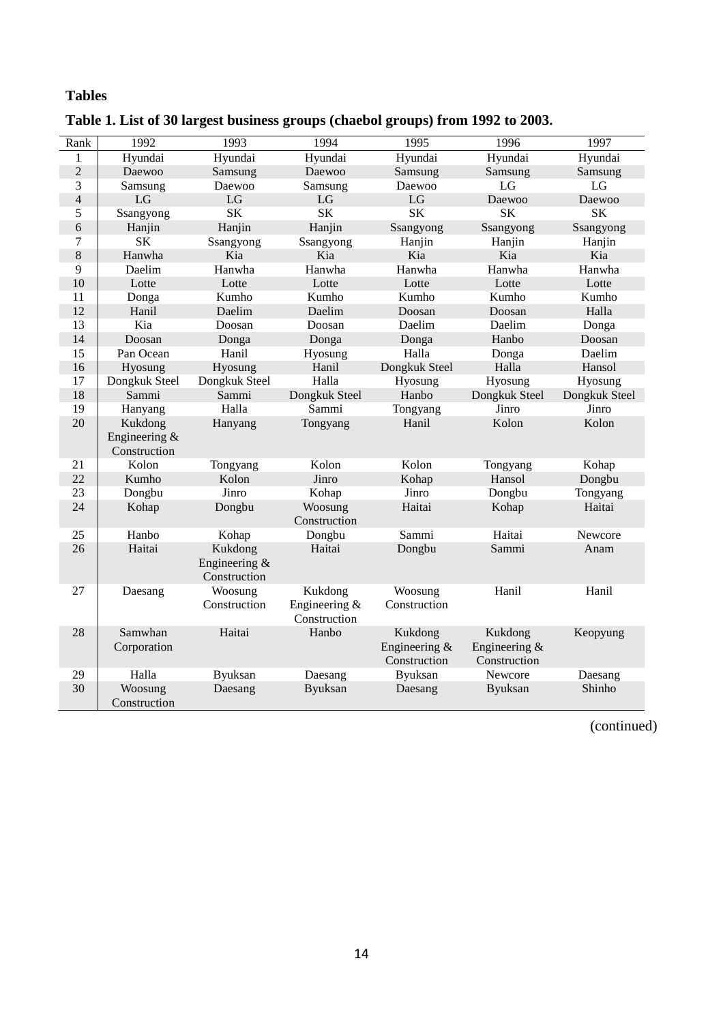# **Tables**

| Rank           | 1992                                     | 1993                                       | 1994                                       | 1995                                       | 1996                                       | 1997          |
|----------------|------------------------------------------|--------------------------------------------|--------------------------------------------|--------------------------------------------|--------------------------------------------|---------------|
| 1              | Hyundai                                  | Hyundai                                    | Hyundai                                    | Hyundai                                    | Hyundai                                    | Hyundai       |
| $\overline{c}$ | Daewoo                                   | Samsung                                    | Daewoo                                     | Samsung                                    | Samsung                                    | Samsung       |
| $\overline{3}$ | Samsung                                  | Daewoo                                     | Samsung                                    | Daewoo                                     | LG                                         | LG            |
| $\overline{4}$ | LG                                       | LG                                         | LG                                         | LG                                         | Daewoo                                     | Daewoo        |
| 5              | Ssangyong                                | <b>SK</b>                                  | <b>SK</b>                                  | <b>SK</b>                                  | <b>SK</b>                                  | <b>SK</b>     |
| $\sqrt{6}$     | Hanjin                                   | Hanjin                                     | Hanjin                                     | Ssangyong                                  | Ssangyong                                  | Ssangyong     |
| $\overline{7}$ | <b>SK</b>                                | Ssangyong                                  | Ssangyong                                  | Hanjin                                     | Hanjin                                     | Hanjin        |
| $8\,$          | Hanwha                                   | Kia                                        | Kia                                        | Kia                                        | Kia                                        | Kia           |
| 9              | Daelim                                   | Hanwha                                     | Hanwha                                     | Hanwha                                     | Hanwha                                     | Hanwha        |
| 10             | Lotte                                    | Lotte                                      | Lotte                                      | Lotte                                      | Lotte                                      | Lotte         |
| 11             | Donga                                    | Kumho                                      | Kumho                                      | Kumho                                      | Kumho                                      | Kumho         |
| 12             | Hanil                                    | Daelim                                     | Daelim                                     | Doosan                                     | Doosan                                     | Halla         |
| 13             | Kia                                      | Doosan                                     | Doosan                                     | Daelim                                     | Daelim                                     | Donga         |
| 14             | Doosan                                   | Donga                                      | Donga                                      | Donga                                      | Hanbo                                      | Doosan        |
| 15             | Pan Ocean                                | Hanil                                      | Hyosung                                    | Halla                                      | Donga                                      | Daelim        |
| 16             | Hyosung                                  | Hyosung                                    | Hanil                                      | Dongkuk Steel                              | Halla                                      | Hansol        |
| 17             | Dongkuk Steel                            | Dongkuk Steel                              | Halla                                      | Hyosung                                    | Hyosung                                    | Hyosung       |
| 18             | Sammi                                    | Sammi                                      | Dongkuk Steel                              | Hanbo                                      | Dongkuk Steel                              | Dongkuk Steel |
| 19             | Hanyang                                  | Halla                                      | Sammi                                      | Tongyang                                   | Jinro                                      | Jinro         |
| 20             | Kukdong<br>Engineering &<br>Construction | Hanyang                                    | Tongyang                                   | Hanil                                      | Kolon                                      | Kolon         |
| 21             | Kolon                                    | Tongyang                                   | Kolon                                      | Kolon                                      | Tongyang                                   | Kohap         |
| 22             | Kumho                                    | Kolon                                      | Jinro                                      | Kohap                                      | Hansol                                     | Dongbu        |
| 23             | Dongbu                                   | Jinro                                      | Kohap                                      | Jinro                                      | Dongbu                                     | Tongyang      |
| 24             | Kohap                                    | Dongbu                                     | Woosung<br>Construction                    | Haitai                                     | Kohap                                      | Haitai        |
| 25             | Hanbo                                    | Kohap                                      | Dongbu                                     | Sammi                                      | Haitai                                     | Newcore       |
| 26             | Haitai                                   | Kukdong<br>Engineering $&$<br>Construction | Haitai                                     | Dongbu                                     | Sammi                                      | Anam          |
| 27             | Daesang                                  | Woosung<br>Construction                    | Kukdong<br>Engineering $&$<br>Construction | Woosung<br>Construction                    | Hanil                                      | Hanil         |
| 28             | Samwhan<br>Corporation                   | Haitai                                     | Hanbo                                      | Kukdong<br>Engineering $&$<br>Construction | Kukdong<br>Engineering $&$<br>Construction | Keopyung      |
| 29             | Halla                                    | <b>Byuksan</b>                             | Daesang                                    | <b>Byuksan</b>                             | Newcore                                    | Daesang       |
| 30             | Woosung<br>Construction                  | Daesang                                    | <b>Byuksan</b>                             | Daesang                                    | Byuksan                                    | Shinho        |

**Table 1. List of 30 largest business groups (chaebol groups) from 1992 to 2003.**

(continued)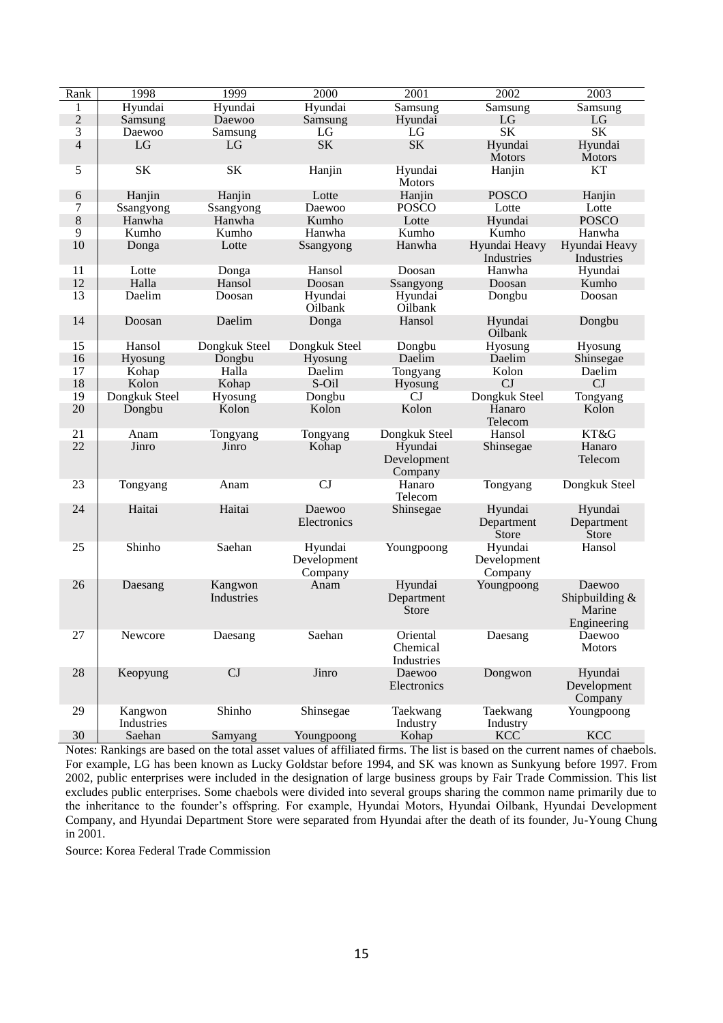| Rank           | 1998                  | 1999                  | 2000                              | 2001                               | 2002                              | 2003                                              |
|----------------|-----------------------|-----------------------|-----------------------------------|------------------------------------|-----------------------------------|---------------------------------------------------|
| 1              | Hyundai               | Hyundai               | Hyundai                           | Samsung                            | <b>Samsung</b>                    | Samsung                                           |
| $\sqrt{2}$     | Samsung               | Daewoo                | Samsung                           | Hyundai                            | LG                                | LG                                                |
| 3              | Daewoo                | Samsung               | LG                                | LG                                 | <b>SK</b>                         | <b>SK</b>                                         |
| $\overline{4}$ | LG                    | LG                    | <b>SK</b>                         | <b>SK</b>                          | Hyundai                           | Hyundai                                           |
|                |                       |                       |                                   |                                    | <b>Motors</b>                     | <b>Motors</b>                                     |
| 5              | <b>SK</b>             | <b>SK</b>             | Hanjin                            | Hyundai<br><b>Motors</b>           | Hanjin                            | <b>KT</b>                                         |
| 6              | Hanjin                | Hanjin                | Lotte                             | Hanjin                             | <b>POSCO</b>                      | Hanjin                                            |
| 7              | Ssangyong             | Ssangyong             | Daewoo                            | <b>POSCO</b>                       | Lotte                             | Lotte                                             |
| $\,8\,$        | Hanwha                | Hanwha                | Kumho                             | Lotte                              | Hyundai                           | <b>POSCO</b>                                      |
| 9              | Kumho                 | Kumho                 | Hanwha                            | Kumho                              | Kumho                             | Hanwha                                            |
| 10             | Donga                 | Lotte                 | Ssangyong                         | Hanwha                             | Hyundai Heavy<br>Industries       | Hyundai Heavy<br>Industries                       |
| 11             | Lotte                 | Donga                 | Hansol                            | Doosan                             | Hanwha                            | Hyundai                                           |
| 12             | Halla                 | Hansol                | Doosan                            | Ssangyong                          | Doosan                            | Kumho                                             |
| 13             | Daelim                | Doosan                | Hyundai                           | Hyundai                            | Dongbu                            | Doosan                                            |
|                |                       |                       | Oilbank                           | Oilbank                            |                                   |                                                   |
| 14             | Doosan                | Daelim                | Donga                             | Hansol                             | Hyundai<br>Oilbank                | Dongbu                                            |
| 15             | Hansol                | Dongkuk Steel         | Dongkuk Steel                     | Dongbu                             | Hyosung                           | Hyosung                                           |
| 16             | Hyosung               | Dongbu                | Hyosung                           | Daelim                             | Daelim                            | Shinsegae                                         |
| 17             | Kohap                 | Halla                 | Daelim                            | Tongyang                           | Kolon                             | Daelim                                            |
| 18             | Kolon                 | Kohap                 | S-Oil                             | Hyosung                            | CJ                                | CJ                                                |
| 19             | Dongkuk Steel         | Hyosung               | Dongbu                            | CJ                                 | Dongkuk Steel                     | Tongyang                                          |
| 20             | Dongbu                | Kolon                 | Kolon                             | Kolon                              | Hanaro<br>Telecom                 | Kolon                                             |
| 21             | Anam                  | Tongyang              | Tongyang                          | Dongkuk Steel                      | Hansol                            | KT&G                                              |
| 22             | Jinro                 | Jinro                 | Kohap                             | Hyundai<br>Development<br>Company  | Shinsegae                         | Hanaro<br>Telecom                                 |
| 23             | Tongyang              | Anam                  | CJ                                | Hanaro<br>Telecom                  | Tongyang                          | Dongkuk Steel                                     |
| 24             | Haitai                | Haitai                | Daewoo<br>Electronics             | Shinsegae                          | Hyundai<br>Department<br>Store    | Hyundai<br>Department<br><b>Store</b>             |
| 25             | Shinho                | Saehan                | Hyundai<br>Development<br>Company | Youngpoong                         | Hyundai<br>Development<br>Company | Hansol                                            |
| 26             | Daesang               | Kangwon<br>Industries | Anam                              | Hyundai<br>Department<br>Store     | Youngpoong                        | Daewoo<br>Shipbuilding &<br>Marine<br>Engineering |
| 27             | Newcore               | Daesang               | Saehan                            | Oriental<br>Chemical<br>Industries | Daesang                           | Daewoo<br><b>Motors</b>                           |
| 28             | Keopyung              | CJ                    | Jinro                             | Daewoo<br>Electronics              | Dongwon                           | Hyundai<br>Development<br>Company                 |
| 29             | Kangwon<br>Industries | Shinho                | Shinsegae                         | Taekwang<br>Industry               | Taekwang<br>Industry              | Youngpoong                                        |
| $30\,$         | Saehan                | Samyang               | Youngpoong                        | Kohap                              | <b>KCC</b>                        | <b>KCC</b>                                        |

Notes: Rankings are based on the total asset values of affiliated firms. The list is based on the current names of chaebols. For example, LG has been known as Lucky Goldstar before 1994, and SK was known as Sunkyung before 1997. From 2002, public enterprises were included in the designation of large business groups by Fair Trade Commission. This list excludes public enterprises. Some chaebols were divided into several groups sharing the common name primarily due to the inheritance to the founder's offspring. For example, Hyundai Motors, Hyundai Oilbank, Hyundai Development Company, and Hyundai Department Store were separated from Hyundai after the death of its founder, Ju-Young Chung in 2001.

Source: Korea Federal Trade Commission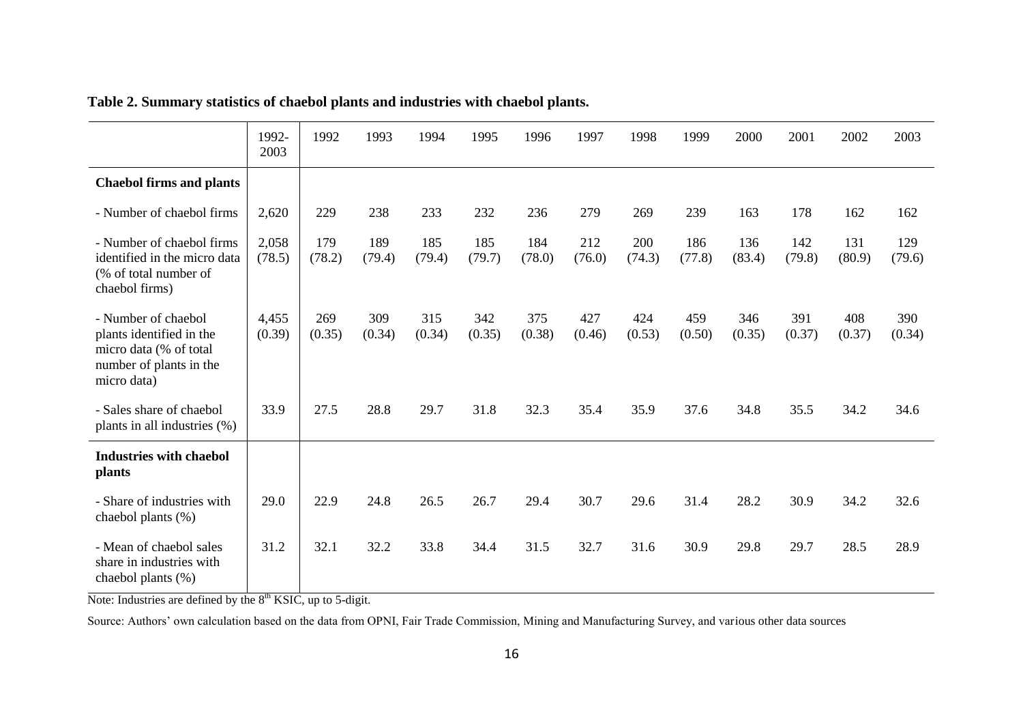|                                                                                                                     | 1992-<br>2003   | 1992          | 1993          | 1994          | 1995          | 1996          | 1997          | 1998          | 1999          | 2000          | 2001          | 2002          | 2003          |
|---------------------------------------------------------------------------------------------------------------------|-----------------|---------------|---------------|---------------|---------------|---------------|---------------|---------------|---------------|---------------|---------------|---------------|---------------|
| <b>Chaebol firms and plants</b>                                                                                     |                 |               |               |               |               |               |               |               |               |               |               |               |               |
| - Number of chaebol firms                                                                                           | 2,620           | 229           | 238           | 233           | 232           | 236           | 279           | 269           | 239           | 163           | 178           | 162           | 162           |
| - Number of chaebol firms<br>identified in the micro data<br>(% of total number of<br>chaebol firms)                | 2,058<br>(78.5) | 179<br>(78.2) | 189<br>(79.4) | 185<br>(79.4) | 185<br>(79.7) | 184<br>(78.0) | 212<br>(76.0) | 200<br>(74.3) | 186<br>(77.8) | 136<br>(83.4) | 142<br>(79.8) | 131<br>(80.9) | 129<br>(79.6) |
| - Number of chaebol<br>plants identified in the<br>micro data (% of total<br>number of plants in the<br>micro data) | 4,455<br>(0.39) | 269<br>(0.35) | 309<br>(0.34) | 315<br>(0.34) | 342<br>(0.35) | 375<br>(0.38) | 427<br>(0.46) | 424<br>(0.53) | 459<br>(0.50) | 346<br>(0.35) | 391<br>(0.37) | 408<br>(0.37) | 390<br>(0.34) |
| - Sales share of chaebol<br>plants in all industries (%)                                                            | 33.9            | 27.5          | 28.8          | 29.7          | 31.8          | 32.3          | 35.4          | 35.9          | 37.6          | 34.8          | 35.5          | 34.2          | 34.6          |
| <b>Industries with chaebol</b><br>plants                                                                            |                 |               |               |               |               |               |               |               |               |               |               |               |               |
| - Share of industries with<br>chaebol plants (%)                                                                    | 29.0            | 22.9          | 24.8          | 26.5          | 26.7          | 29.4          | 30.7          | 29.6          | 31.4          | 28.2          | 30.9          | 34.2          | 32.6          |
| - Mean of chaebol sales<br>share in industries with<br>chaebol plants (%)                                           | 31.2            | 32.1          | 32.2          | 33.8          | 34.4          | 31.5          | 32.7          | 31.6          | 30.9          | 29.8          | 29.7          | 28.5          | 28.9          |

# **Table 2. Summary statistics of chaebol plants and industries with chaebol plants.**

Note: Industries are defined by the  $8<sup>th</sup>$  KSIC, up to 5-digit.

Source: Authors' own calculation based on the data from OPNI, Fair Trade Commission, Mining and Manufacturing Survey, and various other data sources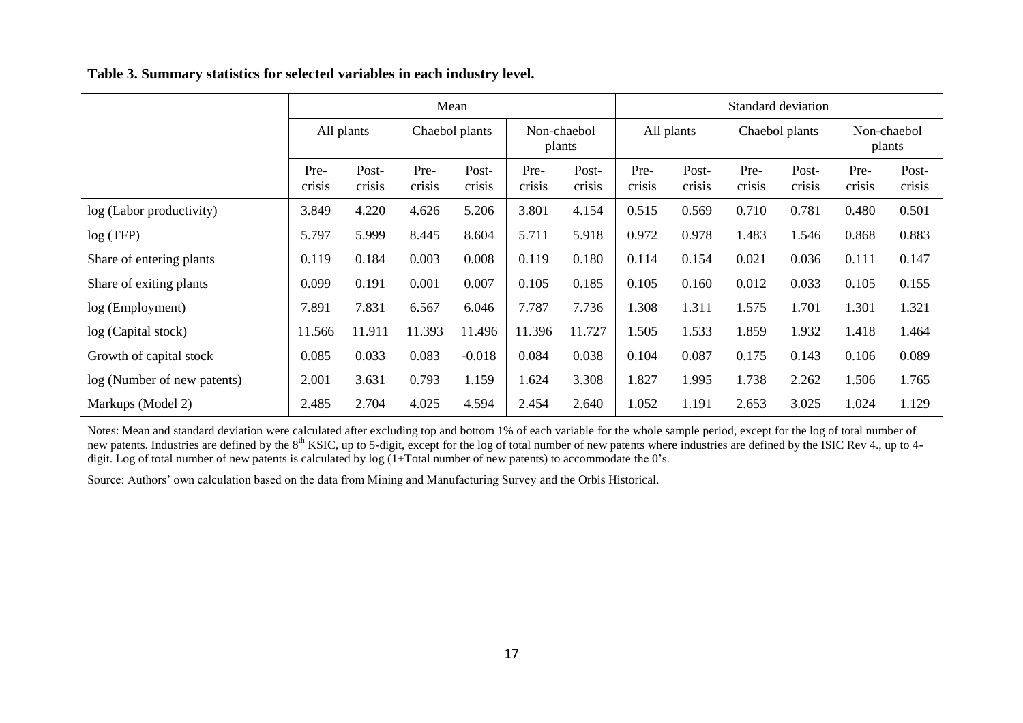|                             |                | Mean            |                |                 |                       | Standard deviation |                |                 |                |                 |                       |                 |
|-----------------------------|----------------|-----------------|----------------|-----------------|-----------------------|--------------------|----------------|-----------------|----------------|-----------------|-----------------------|-----------------|
|                             | All plants     |                 | Chaebol plants |                 | Non-chaebol<br>plants |                    | All plants     |                 | Chaebol plants |                 | Non-chaebol<br>plants |                 |
|                             | Pre-<br>crisis | Post-<br>crisis | Pre-<br>crisis | Post-<br>crisis | Pre-<br>crisis        | Post-<br>crisis    | Pre-<br>crisis | Post-<br>crisis | Pre-<br>crisis | Post-<br>crisis | Pre-<br>crisis        | Post-<br>crisis |
| log (Labor productivity)    | 3.849          | 4.220           | 4.626          | 5.206           | 3.801                 | 4.154              | 0.515          | 0.569           | 0.710          | 0.781           | 0.480                 | 0.501           |
| log(TFP)                    | 5.797          | 5.999           | 8.445          | 8.604           | 5.711                 | 5.918              | 0.972          | 0.978           | 1.483          | 1.546           | 0.868                 | 0.883           |
| Share of entering plants    | 0.119          | 0.184           | 0.003          | 0.008           | 0.119                 | 0.180              | 0.114          | 0.154           | 0.021          | 0.036           | 0.111                 | 0.147           |
| Share of exiting plants     | 0.099          | 0.191           | 0.001          | 0.007           | 0.105                 | 0.185              | 0.105          | 0.160           | 0.012          | 0.033           | 0.105                 | 0.155           |
| log (Employment)            | 7.891          | 7.831           | 6.567          | 6.046           | 7.787                 | 7.736              | 1.308          | 1.311           | 1.575          | 1.701           | 1.301                 | 1.321           |
| log (Capital stock)         | 11.566         | 11.911          | 11.393         | 11.496          | 11.396                | 11.727             | 1.505          | 1.533           | 1.859          | 1.932           | 1.418                 | 1.464           |
| Growth of capital stock     | 0.085          | 0.033           | 0.083          | $-0.018$        | 0.084                 | 0.038              | 0.104          | 0.087           | 0.175          | 0.143           | 0.106                 | 0.089           |
| log (Number of new patents) | 2.001          | 3.631           | 0.793          | 1.159           | 1.624                 | 3.308              | 1.827          | 1.995           | 1.738          | 2.262           | 1.506                 | 1.765           |
| Markups (Model 2)           | 2.485          | 2.704           | 4.025          | 4.594           | 2.454                 | 2.640              | 1.052          | 1.191           | 2.653          | 3.025           | 1.024                 | 1.129           |

Notes: Mean and standard deviation were calculated after excluding top and bottom 1% of each variable for the whole sample period, except for the log of total number of new patents. Industries are defined by the 8<sup>th</sup> KSIC, up to 5-digit, except for the log of total number of new patents where industries are defined by the ISIC Rev 4., up to 4digit. Log of total number of new patents is calculated by log (1+Total number of new patents) to accommodate the 0's.

Source: Authors' own calculation based on the data from Mining and Manufacturing Survey and the Orbis Historical.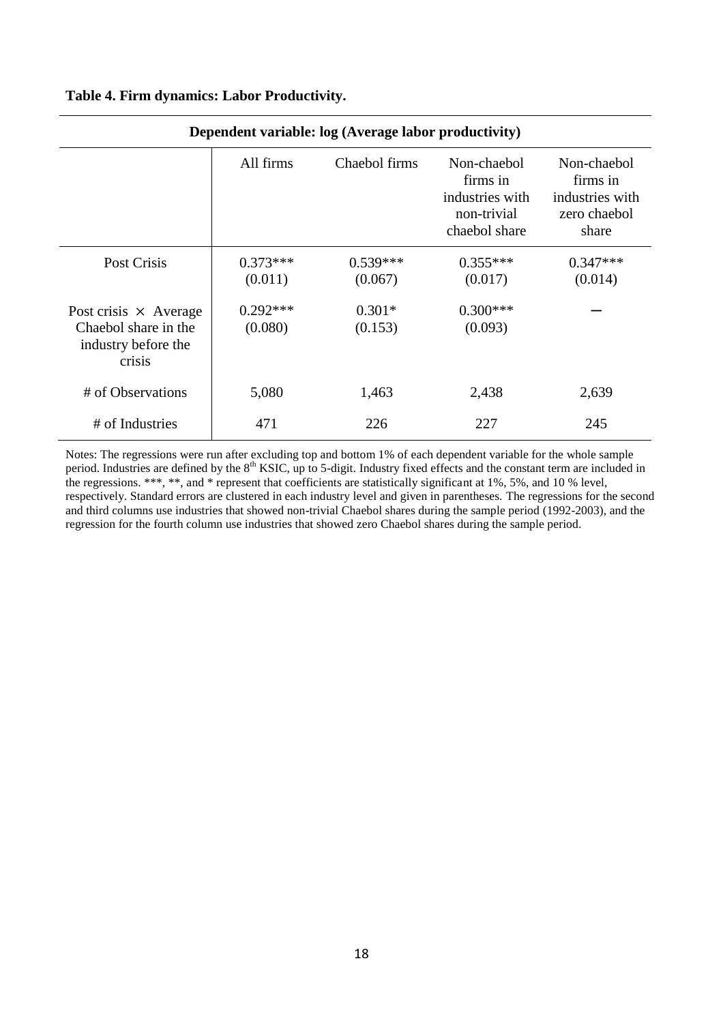| Dependent variable: log (Average labor productivity)                                  |                       |                       |                                                                            |                                                                     |  |  |
|---------------------------------------------------------------------------------------|-----------------------|-----------------------|----------------------------------------------------------------------------|---------------------------------------------------------------------|--|--|
|                                                                                       | All firms             | Chaebol firms         | Non-chaebol<br>firms in<br>industries with<br>non-trivial<br>chaebol share | Non-chaebol<br>firms in<br>industries with<br>zero chaebol<br>share |  |  |
| Post Crisis                                                                           | $0.373***$<br>(0.011) | $0.539***$<br>(0.067) | $0.355***$<br>(0.017)                                                      | $0.347***$<br>(0.014)                                               |  |  |
| Post crisis $\times$ Average<br>Chaebol share in the<br>industry before the<br>crisis | $0.292***$<br>(0.080) | $0.301*$<br>(0.153)   | $0.300***$<br>(0.093)                                                      |                                                                     |  |  |
| # of Observations                                                                     | 5,080                 | 1,463                 | 2,438                                                                      | 2,639                                                               |  |  |
| # of Industries                                                                       | 471                   | 226                   | 227                                                                        | 245                                                                 |  |  |

### **Table 4. Firm dynamics: Labor Productivity.**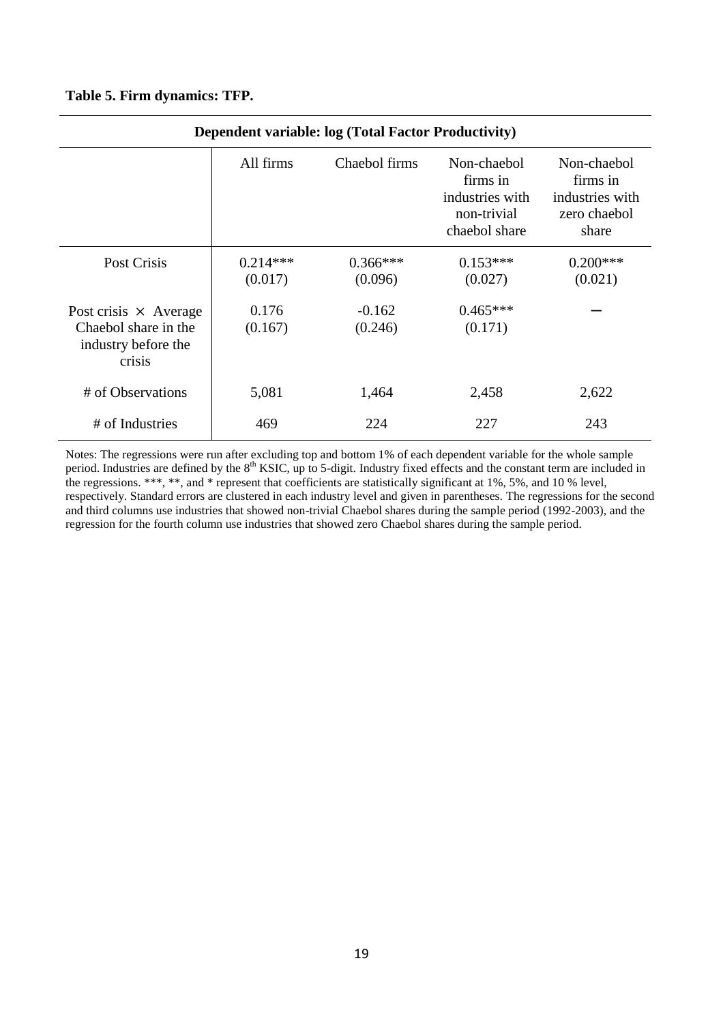### **Table 5. Firm dynamics: TFP.**

| <b>Dependent variable: log (Total Factor Productivity)</b>                            |                       |                       |                                                                            |                                                                     |  |  |
|---------------------------------------------------------------------------------------|-----------------------|-----------------------|----------------------------------------------------------------------------|---------------------------------------------------------------------|--|--|
|                                                                                       | All firms             | Chaebol firms         | Non-chaebol<br>firms in<br>industries with<br>non-trivial<br>chaebol share | Non-chaebol<br>firms in<br>industries with<br>zero chaebol<br>share |  |  |
| Post Crisis                                                                           | $0.214***$<br>(0.017) | $0.366***$<br>(0.096) | $0.153***$<br>(0.027)                                                      | $0.200***$<br>(0.021)                                               |  |  |
| Post crisis $\times$ Average<br>Chaebol share in the<br>industry before the<br>crisis | 0.176<br>(0.167)      | $-0.162$<br>(0.246)   | $0.465***$<br>(0.171)                                                      |                                                                     |  |  |
| # of Observations                                                                     | 5,081                 | 1,464                 | 2,458                                                                      | 2,622                                                               |  |  |
| # of Industries                                                                       | 469                   | 224                   | 227                                                                        | 243                                                                 |  |  |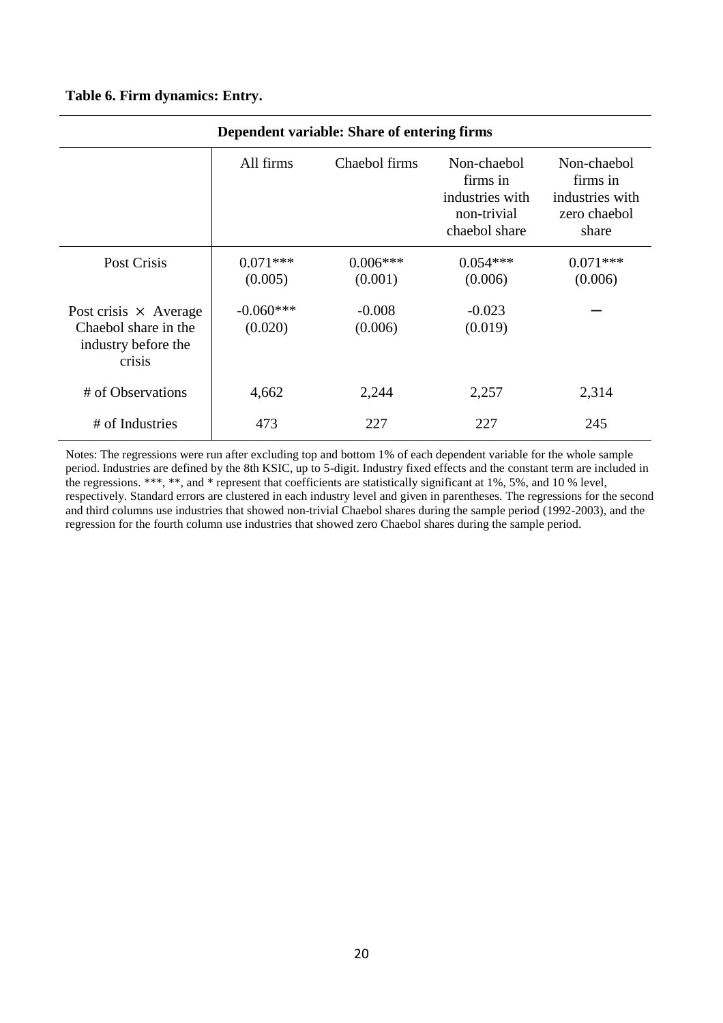### **Table 6. Firm dynamics: Entry.**

| Dependent variable: Share of entering firms                                           |                        |                       |                                                                            |                                                                     |  |  |
|---------------------------------------------------------------------------------------|------------------------|-----------------------|----------------------------------------------------------------------------|---------------------------------------------------------------------|--|--|
|                                                                                       | All firms              | Chaebol firms         | Non-chaebol<br>firms in<br>industries with<br>non-trivial<br>chaebol share | Non-chaebol<br>firms in<br>industries with<br>zero chaebol<br>share |  |  |
| Post Crisis                                                                           | $0.071***$<br>(0.005)  | $0.006***$<br>(0.001) | $0.054***$<br>(0.006)                                                      | $0.071***$<br>(0.006)                                               |  |  |
| Post crisis $\times$ Average<br>Chaebol share in the<br>industry before the<br>crisis | $-0.060***$<br>(0.020) | $-0.008$<br>(0.006)   | $-0.023$<br>(0.019)                                                        |                                                                     |  |  |
| # of Observations                                                                     | 4,662                  | 2,244                 | 2,257                                                                      | 2,314                                                               |  |  |
| # of Industries                                                                       | 473                    | 227                   | 227                                                                        | 245                                                                 |  |  |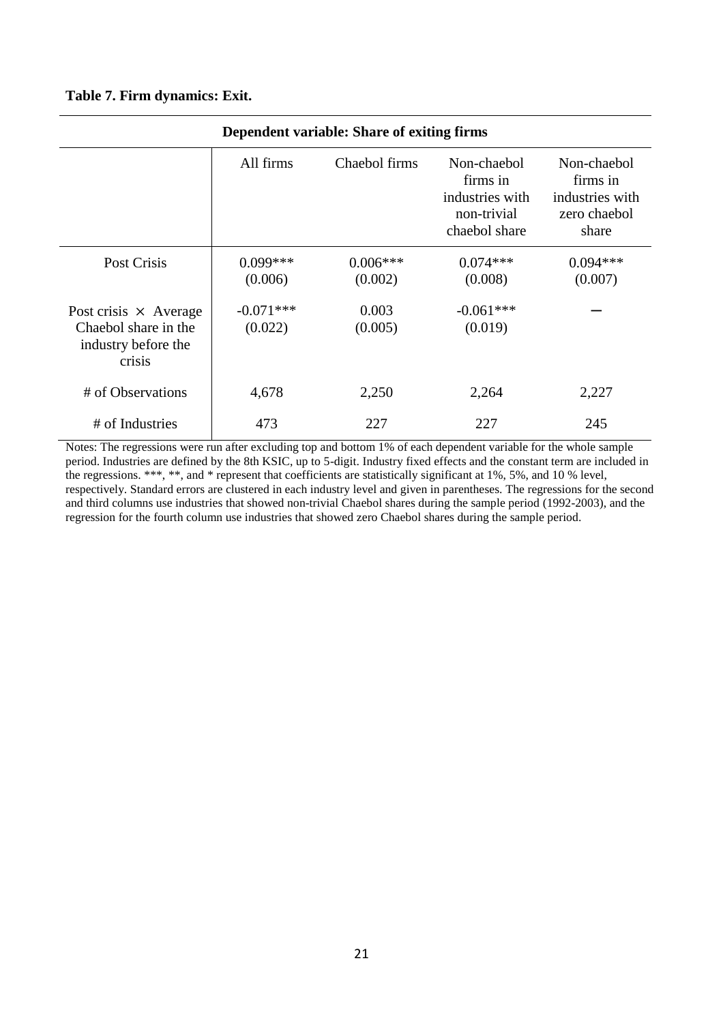### **Table 7. Firm dynamics: Exit.**

| Dependent variable: Share of exiting firms                                            |                        |                       |                                                                            |                                                                     |  |  |
|---------------------------------------------------------------------------------------|------------------------|-----------------------|----------------------------------------------------------------------------|---------------------------------------------------------------------|--|--|
|                                                                                       | All firms              | Chaebol firms         | Non-chaebol<br>firms in<br>industries with<br>non-trivial<br>chaebol share | Non-chaebol<br>firms in<br>industries with<br>zero chaebol<br>share |  |  |
| Post Crisis                                                                           | $0.099***$<br>(0.006)  | $0.006***$<br>(0.002) | $0.074***$<br>(0.008)                                                      | $0.094***$<br>(0.007)                                               |  |  |
| Post crisis $\times$ Average<br>Chaebol share in the<br>industry before the<br>crisis | $-0.071***$<br>(0.022) | 0.003<br>(0.005)      | $-0.061***$<br>(0.019)                                                     |                                                                     |  |  |
| # of Observations                                                                     | 4,678                  | 2,250                 | 2,264                                                                      | 2,227                                                               |  |  |
| # of Industries                                                                       | 473                    | 227                   | 227                                                                        | 245                                                                 |  |  |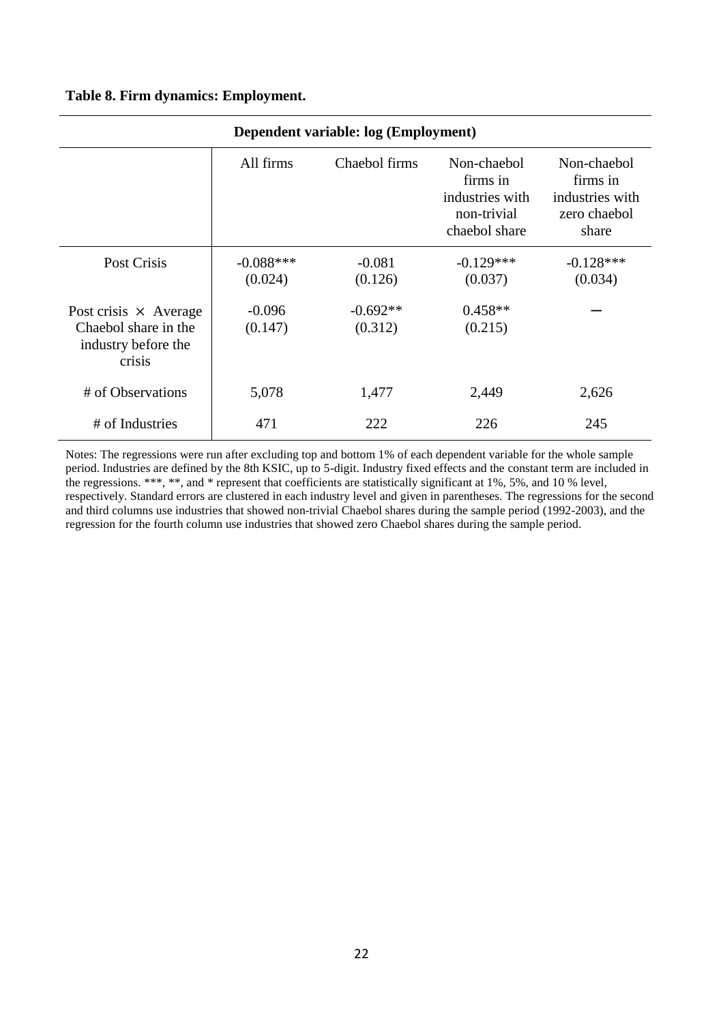### **Table 8. Firm dynamics: Employment.**

| Dependent variable: log (Employment)                                                  |                        |                       |                                                                            |                                                                     |  |  |
|---------------------------------------------------------------------------------------|------------------------|-----------------------|----------------------------------------------------------------------------|---------------------------------------------------------------------|--|--|
|                                                                                       | All firms              | Chaebol firms         | Non-chaebol<br>firms in<br>industries with<br>non-trivial<br>chaebol share | Non-chaebol<br>firms in<br>industries with<br>zero chaebol<br>share |  |  |
| Post Crisis                                                                           | $-0.088***$<br>(0.024) | $-0.081$<br>(0.126)   | $-0.129***$<br>(0.037)                                                     | $-0.128***$<br>(0.034)                                              |  |  |
| Post crisis $\times$ Average<br>Chaebol share in the<br>industry before the<br>crisis | $-0.096$<br>(0.147)    | $-0.692**$<br>(0.312) | $0.458**$<br>(0.215)                                                       |                                                                     |  |  |
| # of Observations                                                                     | 5,078                  | 1,477                 | 2,449                                                                      | 2,626                                                               |  |  |
| # of Industries                                                                       | 471                    | 222                   | 226                                                                        | 245                                                                 |  |  |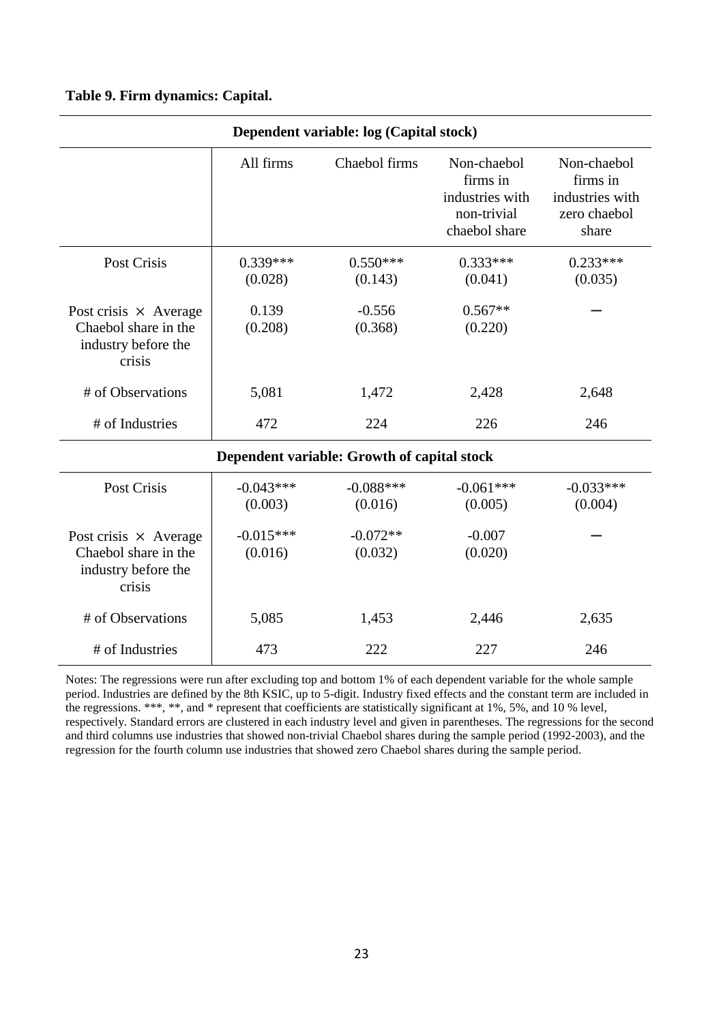### **Table 9. Firm dynamics: Capital.**

| Dependent variable: log (Capital stock)                                               |                        |                                             |                                                                            |                                                                     |  |  |
|---------------------------------------------------------------------------------------|------------------------|---------------------------------------------|----------------------------------------------------------------------------|---------------------------------------------------------------------|--|--|
|                                                                                       | All firms              | Chaebol firms                               | Non-chaebol<br>firms in<br>industries with<br>non-trivial<br>chaebol share | Non-chaebol<br>firms in<br>industries with<br>zero chaebol<br>share |  |  |
| <b>Post Crisis</b>                                                                    | $0.339***$<br>(0.028)  | $0.550***$<br>(0.143)                       | $0.333***$<br>(0.041)                                                      | $0.233***$<br>(0.035)                                               |  |  |
| Post crisis $\times$ Average<br>Chaebol share in the<br>industry before the<br>crisis | 0.139<br>(0.208)       | $-0.556$<br>(0.368)                         | $0.567**$<br>(0.220)                                                       |                                                                     |  |  |
| # of Observations                                                                     | 5,081                  | 1,472                                       | 2,428                                                                      | 2,648                                                               |  |  |
| # of Industries                                                                       | 472                    | 224                                         | 226                                                                        | 246                                                                 |  |  |
|                                                                                       |                        | Dependent variable: Growth of capital stock |                                                                            |                                                                     |  |  |
| Post Crisis                                                                           | $-0.043***$<br>(0.003) | $-0.088***$<br>(0.016)                      | $-0.061***$<br>(0.005)                                                     | $-0.033***$<br>(0.004)                                              |  |  |
| Post crisis $\times$ Average<br>Chaebol share in the<br>industry before the<br>crisis | $-0.015***$<br>(0.016) | $-0.072**$<br>(0.032)                       | $-0.007$<br>(0.020)                                                        |                                                                     |  |  |
| # of Observations                                                                     | 5,085                  | 1,453                                       | 2,446                                                                      | 2,635                                                               |  |  |
| # of Industries                                                                       | 473                    | 222                                         | 227                                                                        | 246                                                                 |  |  |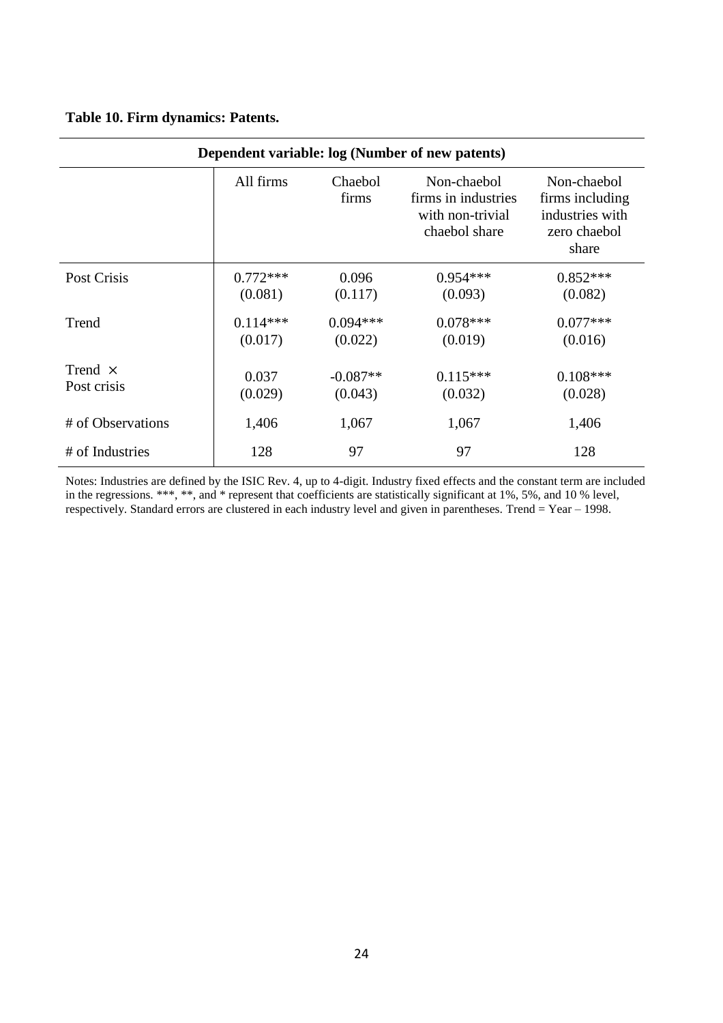|  |  |  | Table 10. Firm dynamics: Patents. |  |
|--|--|--|-----------------------------------|--|
|--|--|--|-----------------------------------|--|

| Dependent variable: log (Number of new patents) |                       |                       |                                                                         |                                                                            |  |
|-------------------------------------------------|-----------------------|-----------------------|-------------------------------------------------------------------------|----------------------------------------------------------------------------|--|
|                                                 | All firms             | Chaebol<br>firms      | Non-chaebol<br>firms in industries<br>with non-trivial<br>chaebol share | Non-chaebol<br>firms including<br>industries with<br>zero chaebol<br>share |  |
| Post Crisis                                     | $0.772***$<br>(0.081) | 0.096<br>(0.117)      | $0.954***$<br>(0.093)                                                   | $0.852***$<br>(0.082)                                                      |  |
| Trend                                           | $0.114***$<br>(0.017) | $0.094***$<br>(0.022) | $0.078***$<br>(0.019)                                                   | $0.077***$<br>(0.016)                                                      |  |
| Trend $\times$<br>Post crisis                   | 0.037<br>(0.029)      | $-0.087**$<br>(0.043) | $0.115***$<br>(0.032)                                                   | $0.108***$<br>(0.028)                                                      |  |
| # of Observations                               | 1,406                 | 1,067                 | 1,067                                                                   | 1,406                                                                      |  |
| # of Industries                                 | 128                   | 97                    | 97                                                                      | 128                                                                        |  |

Notes: Industries are defined by the ISIC Rev. 4, up to 4-digit. Industry fixed effects and the constant term are included in the regressions. \*\*\*, \*\*, and \* represent that coefficients are statistically significant at 1%, 5%, and 10 % level, respectively. Standard errors are clustered in each industry level and given in parentheses. Trend = Year – 1998.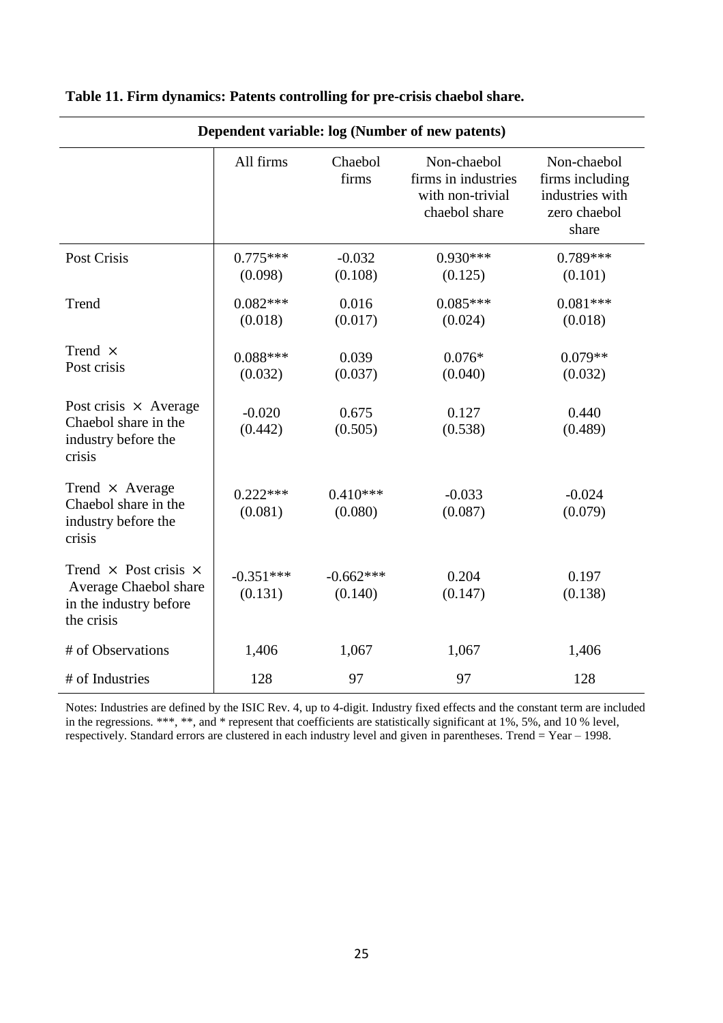| Dependent variable: log (Number of new patents)                                                      |                        |                        |                                                                         |                                                                            |  |
|------------------------------------------------------------------------------------------------------|------------------------|------------------------|-------------------------------------------------------------------------|----------------------------------------------------------------------------|--|
|                                                                                                      | All firms              | Chaebol<br>firms       | Non-chaebol<br>firms in industries<br>with non-trivial<br>chaebol share | Non-chaebol<br>firms including<br>industries with<br>zero chaebol<br>share |  |
| Post Crisis                                                                                          | $0.775***$<br>(0.098)  | $-0.032$<br>(0.108)    | $0.930***$<br>(0.125)                                                   | $0.789***$<br>(0.101)                                                      |  |
| Trend                                                                                                | $0.082***$<br>(0.018)  | 0.016<br>(0.017)       | $0.085***$<br>(0.024)                                                   | $0.081***$<br>(0.018)                                                      |  |
| Trend $\times$<br>Post crisis                                                                        | $0.088***$<br>(0.032)  | 0.039<br>(0.037)       | $0.076*$<br>(0.040)                                                     | $0.079**$<br>(0.032)                                                       |  |
| Post crisis $\times$ Average<br>Chaebol share in the<br>industry before the<br>crisis                | $-0.020$<br>(0.442)    | 0.675<br>(0.505)       | 0.127<br>(0.538)                                                        | 0.440<br>(0.489)                                                           |  |
| Trend $\times$ Average<br>Chaebol share in the<br>industry before the<br>crisis                      | $0.222***$<br>(0.081)  | $0.410***$<br>(0.080)  | $-0.033$<br>(0.087)                                                     | $-0.024$<br>(0.079)                                                        |  |
| Trend $\times$ Post crisis $\times$<br>Average Chaebol share<br>in the industry before<br>the crisis | $-0.351***$<br>(0.131) | $-0.662***$<br>(0.140) | 0.204<br>(0.147)                                                        | 0.197<br>(0.138)                                                           |  |
| # of Observations                                                                                    | 1,406                  | 1,067                  | 1,067                                                                   | 1,406                                                                      |  |
| # of Industries                                                                                      | 128                    | 97                     | 97                                                                      | 128                                                                        |  |

# **Table 11. Firm dynamics: Patents controlling for pre-crisis chaebol share.**

Notes: Industries are defined by the ISIC Rev. 4, up to 4-digit. Industry fixed effects and the constant term are included in the regressions. \*\*\*, \*\*, and \* represent that coefficients are statistically significant at 1%, 5%, and 10 % level, respectively. Standard errors are clustered in each industry level and given in parentheses. Trend = Year – 1998.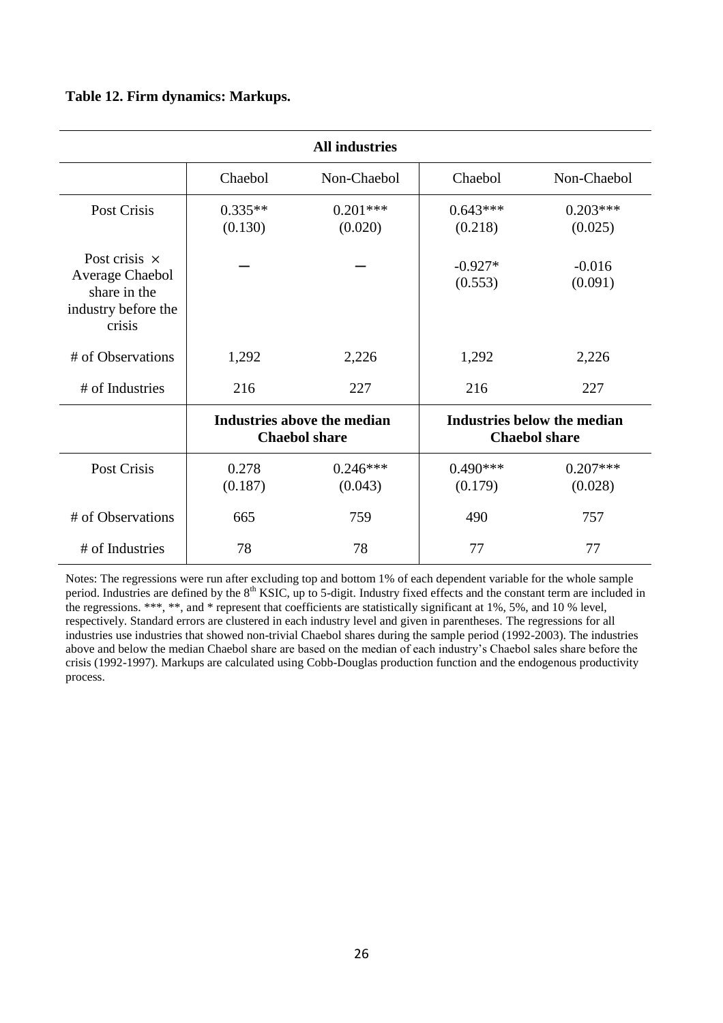### **Table 12. Firm dynamics: Markups.**

| <b>All industries</b>                                                                    |                                                     |                       |                                                     |                       |
|------------------------------------------------------------------------------------------|-----------------------------------------------------|-----------------------|-----------------------------------------------------|-----------------------|
|                                                                                          | Chaebol                                             | Non-Chaebol           | Chaebol                                             | Non-Chaebol           |
| Post Crisis                                                                              | $0.335**$<br>(0.130)                                | $0.201***$<br>(0.020) | $0.643***$<br>(0.218)                               | $0.203***$<br>(0.025) |
| Post crisis $\times$<br>Average Chaebol<br>share in the<br>industry before the<br>crisis |                                                     |                       | $-0.927*$<br>(0.553)                                | $-0.016$<br>(0.091)   |
| # of Observations                                                                        | 1,292                                               | 2,226                 | 1,292                                               | 2,226                 |
| # of Industries                                                                          | 216                                                 | 227                   | 216                                                 | 227                   |
|                                                                                          | Industries above the median<br><b>Chaebol share</b> |                       | Industries below the median<br><b>Chaebol share</b> |                       |
| Post Crisis                                                                              | 0.278<br>(0.187)                                    | $0.246***$<br>(0.043) | $0.490***$<br>(0.179)                               | $0.207***$<br>(0.028) |
| # of Observations                                                                        | 665                                                 | 759                   | 490                                                 | 757                   |
| # of Industries                                                                          | 78                                                  | 78                    | 77                                                  | 77                    |

Notes: The regressions were run after excluding top and bottom 1% of each dependent variable for the whole sample period. Industries are defined by the  $8<sup>th</sup>$  KSIC, up to 5-digit. Industry fixed effects and the constant term are included in the regressions. \*\*\*, \*\*, and \* represent that coefficients are statistically significant at 1%, 5%, and 10 % level, respectively. Standard errors are clustered in each industry level and given in parentheses. The regressions for all industries use industries that showed non-trivial Chaebol shares during the sample period (1992-2003). The industries above and below the median Chaebol share are based on the median of each industry's Chaebol sales share before the crisis (1992-1997). Markups are calculated using Cobb-Douglas production function and the endogenous productivity process.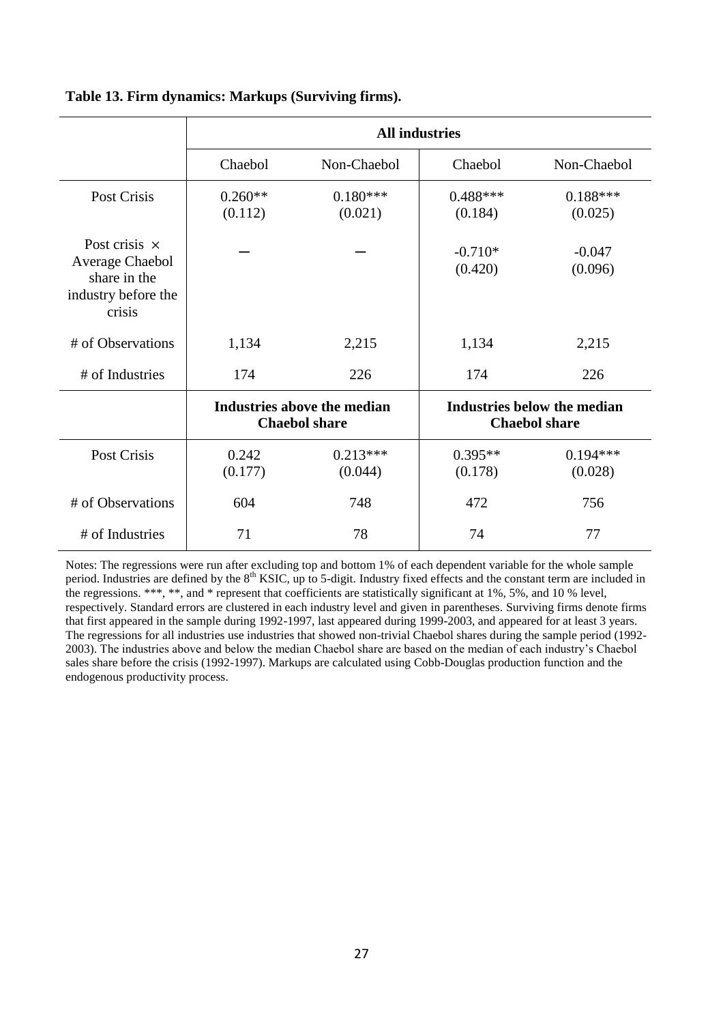|                                                                                          | <b>All industries</b>                               |                       |                                                     |                       |
|------------------------------------------------------------------------------------------|-----------------------------------------------------|-----------------------|-----------------------------------------------------|-----------------------|
|                                                                                          | Chaebol                                             | Non-Chaebol           | Chaebol                                             | Non-Chaebol           |
| Post Crisis                                                                              | $0.260**$<br>(0.112)                                | $0.180***$<br>(0.021) | $0.488***$<br>(0.184)                               | $0.188***$<br>(0.025) |
| Post crisis $\times$<br>Average Chaebol<br>share in the<br>industry before the<br>crisis |                                                     |                       | $-0.710*$<br>(0.420)                                | $-0.047$<br>(0.096)   |
| # of Observations                                                                        | 1,134                                               | 2,215                 | 1,134                                               | 2,215                 |
| # of Industries                                                                          | 174                                                 | 226                   | 174                                                 | 226                   |
|                                                                                          | Industries above the median<br><b>Chaebol share</b> |                       | Industries below the median<br><b>Chaebol share</b> |                       |
| Post Crisis                                                                              | 0.242<br>(0.177)                                    | $0.213***$<br>(0.044) | $0.395**$<br>(0.178)                                | $0.194***$<br>(0.028) |
| # of Observations                                                                        | 604                                                 | 748                   | 472                                                 | 756                   |
| # of Industries                                                                          | 71                                                  | 78                    | 74                                                  | 77                    |

### **Table 13. Firm dynamics: Markups (Surviving firms).**

Notes: The regressions were run after excluding top and bottom 1% of each dependent variable for the whole sample period. Industries are defined by the 8<sup>th</sup> KSIC, up to 5-digit. Industry fixed effects and the constant term are included in the regressions. \*\*\*, \*\*, and \* represent that coefficients are statistically significant at 1%, 5%, and 10 % level, respectively. Standard errors are clustered in each industry level and given in parentheses. Surviving firms denote firms that first appeared in the sample during 1992-1997, last appeared during 1999-2003, and appeared for at least 3 years. The regressions for all industries use industries that showed non-trivial Chaebol shares during the sample period (1992- 2003). The industries above and below the median Chaebol share are based on the median of each industry's Chaebol sales share before the crisis (1992-1997). Markups are calculated using Cobb-Douglas production function and the endogenous productivity process.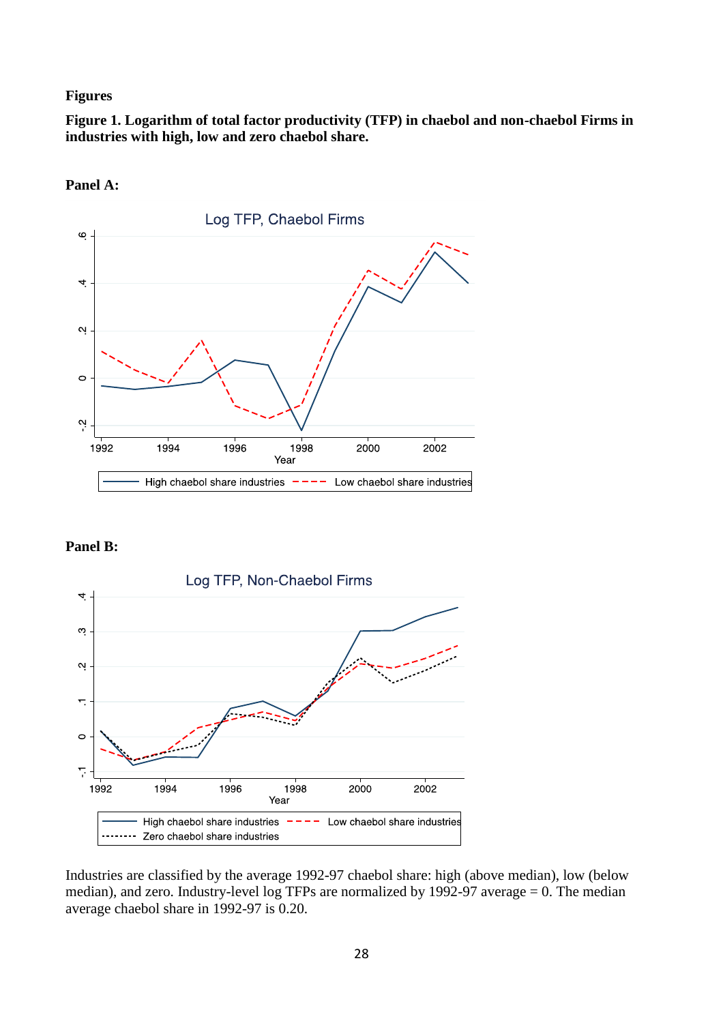### **Figures**

**Figure 1. Logarithm of total factor productivity (TFP) in chaebol and non-chaebol Firms in industries with high, low and zero chaebol share.**



**Panel A:**

### **Panel B:**



Industries are classified by the average 1992-97 chaebol share: high (above median), low (below median), and zero. Industry-level log TFPs are normalized by 1992-97 average = 0. The median average chaebol share in 1992-97 is 0.20.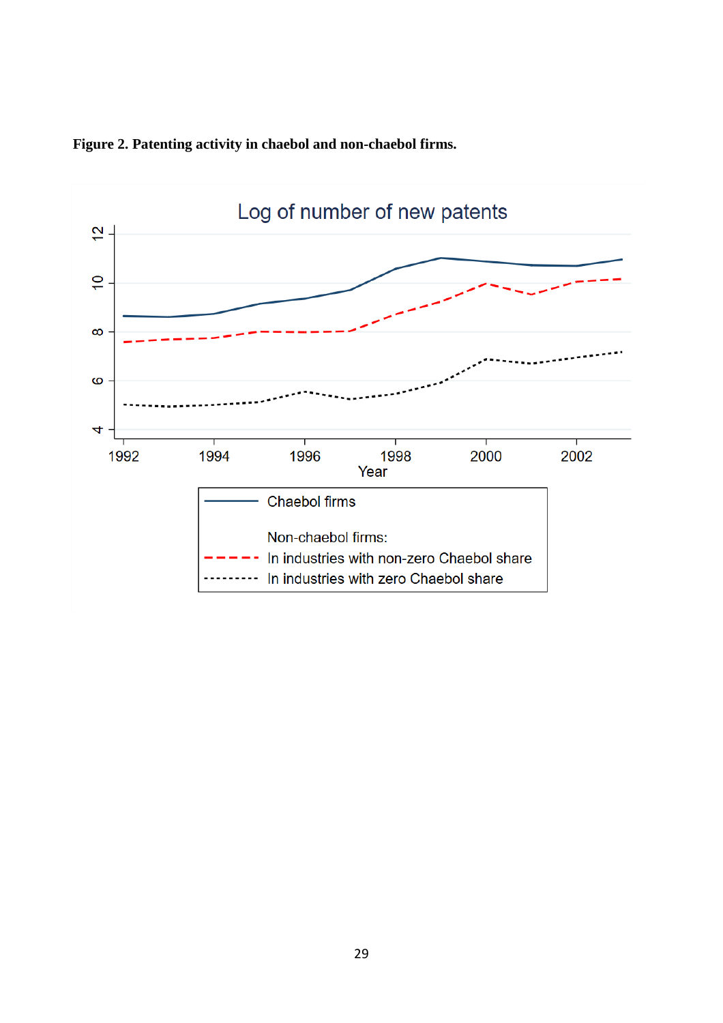

**Figure 2. Patenting activity in chaebol and non-chaebol firms.**